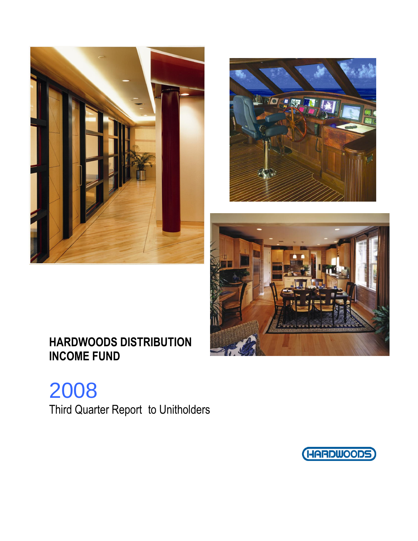





2008 Third Quarter Report to Unitholders

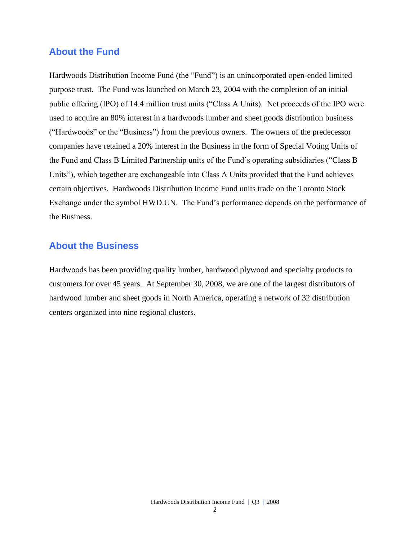## **About the Fund**

Hardwoods Distribution Income Fund (the "Fund") is an unincorporated open-ended limited purpose trust. The Fund was launched on March 23, 2004 with the completion of an initial public offering (IPO) of 14.4 million trust units ("Class A Units). Net proceeds of the IPO were used to acquire an 80% interest in a hardwoods lumber and sheet goods distribution business ("Hardwoods" or the "Business") from the previous owners. The owners of the predecessor companies have retained a 20% interest in the Business in the form of Special Voting Units of the Fund and Class B Limited Partnership units of the Fund's operating subsidiaries ("Class B Units"), which together are exchangeable into Class A Units provided that the Fund achieves certain objectives. Hardwoods Distribution Income Fund units trade on the Toronto Stock Exchange under the symbol HWD.UN. The Fund's performance depends on the performance of the Business.

## **About the Business**

Hardwoods has been providing quality lumber, hardwood plywood and specialty products to customers for over 45 years. At September 30, 2008, we are one of the largest distributors of hardwood lumber and sheet goods in North America, operating a network of 32 distribution centers organized into nine regional clusters.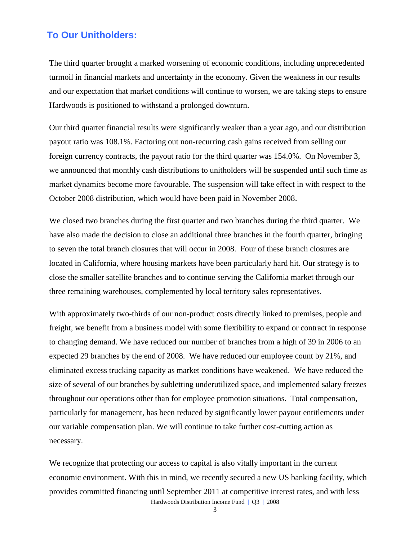## **To Our Unitholders:**

The third quarter brought a marked worsening of economic conditions, including unprecedented turmoil in financial markets and uncertainty in the economy. Given the weakness in our results and our expectation that market conditions will continue to worsen, we are taking steps to ensure Hardwoods is positioned to withstand a prolonged downturn.

Our third quarter financial results were significantly weaker than a year ago, and our distribution payout ratio was 108.1%. Factoring out non-recurring cash gains received from selling our foreign currency contracts, the payout ratio for the third quarter was 154.0%. On November 3, we announced that monthly cash distributions to unitholders will be suspended until such time as market dynamics become more favourable. The suspension will take effect in with respect to the October 2008 distribution, which would have been paid in November 2008.

We closed two branches during the first quarter and two branches during the third quarter. We have also made the decision to close an additional three branches in the fourth quarter, bringing to seven the total branch closures that will occur in 2008. Four of these branch closures are located in California, where housing markets have been particularly hard hit. Our strategy is to close the smaller satellite branches and to continue serving the California market through our three remaining warehouses, complemented by local territory sales representatives.

With approximately two-thirds of our non-product costs directly linked to premises, people and freight, we benefit from a business model with some flexibility to expand or contract in response to changing demand. We have reduced our number of branches from a high of 39 in 2006 to an expected 29 branches by the end of 2008. We have reduced our employee count by 21%, and eliminated excess trucking capacity as market conditions have weakened. We have reduced the size of several of our branches by subletting underutilized space, and implemented salary freezes throughout our operations other than for employee promotion situations. Total compensation, particularly for management, has been reduced by significantly lower payout entitlements under our variable compensation plan. We will continue to take further cost-cutting action as necessary.

Hardwoods Distribution Income Fund | Q3 | 2008 We recognize that protecting our access to capital is also vitally important in the current economic environment. With this in mind, we recently secured a new US banking facility, which provides committed financing until September 2011 at competitive interest rates, and with less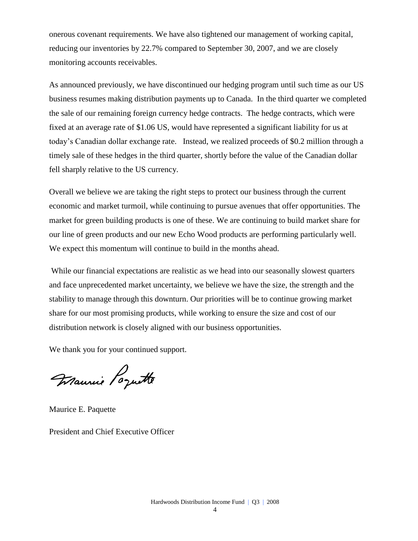onerous covenant requirements. We have also tightened our management of working capital, reducing our inventories by 22.7% compared to September 30, 2007, and we are closely monitoring accounts receivables.

As announced previously, we have discontinued our hedging program until such time as our US business resumes making distribution payments up to Canada. In the third quarter we completed the sale of our remaining foreign currency hedge contracts. The hedge contracts, which were fixed at an average rate of \$1.06 US, would have represented a significant liability for us at today's Canadian dollar exchange rate. Instead, we realized proceeds of \$0.2 million through a timely sale of these hedges in the third quarter, shortly before the value of the Canadian dollar fell sharply relative to the US currency.

Overall we believe we are taking the right steps to protect our business through the current economic and market turmoil, while continuing to pursue avenues that offer opportunities. The market for green building products is one of these. We are continuing to build market share for our line of green products and our new Echo Wood products are performing particularly well. We expect this momentum will continue to build in the months ahead.

While our financial expectations are realistic as we head into our seasonally slowest quarters and face unprecedented market uncertainty, we believe we have the size, the strength and the stability to manage through this downturn. Our priorities will be to continue growing market share for our most promising products, while working to ensure the size and cost of our distribution network is closely aligned with our business opportunities.

We thank you for your continued support.

Maurie Poquette

Maurice E. Paquette

President and Chief Executive Officer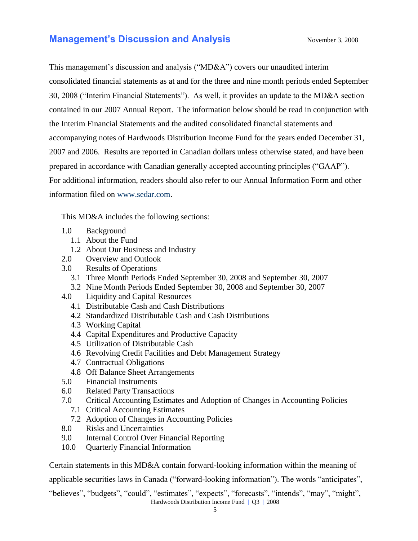## **Management's Discussion and Analysis** November 3, 2008

This management's discussion and analysis ("MD&A") covers our unaudited interim consolidated financial statements as at and for the three and nine month periods ended September 30, 2008 ("Interim Financial Statements"). As well, it provides an update to the MD&A section contained in our 2007 Annual Report. The information below should be read in conjunction with the Interim Financial Statements and the audited consolidated financial statements and accompanying notes of Hardwoods Distribution Income Fund for the years ended December 31, 2007 and 2006. Results are reported in Canadian dollars unless otherwise stated, and have been prepared in accordance with Canadian generally accepted accounting principles ("GAAP"). For additional information, readers should also refer to our Annual Information Form and other information filed on [www.sedar.com.](http://www.sedar.com/)

This MD&A includes the following sections:

- 1.0 Background
	- 1.1 About the Fund
	- 1.2 About Our Business and Industry
- 2.0 Overview and Outlook
- 3.0 Results of Operations
	- 3.1 Three Month Periods Ended September 30, 2008 and September 30, 2007
	- 3.2 Nine Month Periods Ended September 30, 2008 and September 30, 2007
- 4.0 Liquidity and Capital Resources
	- 4.1 Distributable Cash and Cash Distributions
	- 4.2 Standardized Distributable Cash and Cash Distributions
	- 4.3 Working Capital
	- 4.4 Capital Expenditures and Productive Capacity
	- 4.5 Utilization of Distributable Cash
	- 4.6 Revolving Credit Facilities and Debt Management Strategy
	- 4.7 Contractual Obligations
	- 4.8 Off Balance Sheet Arrangements
- 5.0 Financial Instruments
- 6.0 Related Party Transactions
- 7.0 Critical Accounting Estimates and Adoption of Changes in Accounting Policies
	- 7.1 Critical Accounting Estimates
	- 7.2 Adoption of Changes in Accounting Policies
- 8.0 Risks and Uncertainties
- 9.0 Internal Control Over Financial Reporting
- 10.0 Quarterly Financial Information

Certain statements in this MD&A contain forward-looking information within the meaning of

applicable securities laws in Canada ("forward-looking information"). The words "anticipates",

Hardwoods Distribution Income Fund | Q3 | 2008 "believes", "budgets", "could", "estimates", "expects", "forecasts", "intends", "may", "might",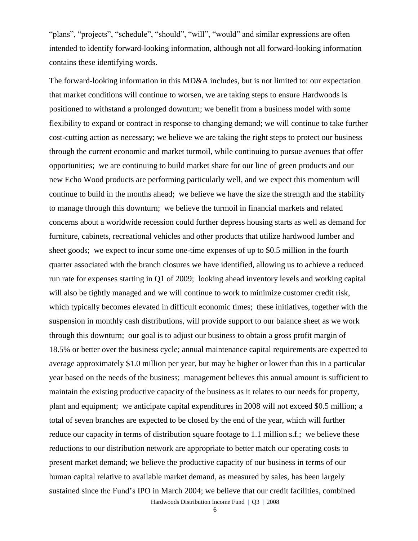"plans", "projects", "schedule", "should", "will", "would" and similar expressions are often intended to identify forward-looking information, although not all forward-looking information contains these identifying words.

The forward-looking information in this MD&A includes, but is not limited to: our expectation that market conditions will continue to worsen, we are taking steps to ensure Hardwoods is positioned to withstand a prolonged downturn; we benefit from a business model with some flexibility to expand or contract in response to changing demand; we will continue to take further cost-cutting action as necessary; we believe we are taking the right steps to protect our business through the current economic and market turmoil, while continuing to pursue avenues that offer opportunities; we are continuing to build market share for our line of green products and our new Echo Wood products are performing particularly well, and we expect this momentum will continue to build in the months ahead; we believe we have the size the strength and the stability to manage through this downturn; we believe the turmoil in financial markets and related concerns about a worldwide recession could further depress housing starts as well as demand for furniture, cabinets, recreational vehicles and other products that utilize hardwood lumber and sheet goods; we expect to incur some one-time expenses of up to \$0.5 million in the fourth quarter associated with the branch closures we have identified, allowing us to achieve a reduced run rate for expenses starting in Q1 of 2009; looking ahead inventory levels and working capital will also be tightly managed and we will continue to work to minimize customer credit risk, which typically becomes elevated in difficult economic times; these initiatives, together with the suspension in monthly cash distributions, will provide support to our balance sheet as we work through this downturn; our goal is to adjust our business to obtain a gross profit margin of 18.5% or better over the business cycle; annual maintenance capital requirements are expected to average approximately \$1.0 million per year, but may be higher or lower than this in a particular year based on the needs of the business; management believes this annual amount is sufficient to maintain the existing productive capacity of the business as it relates to our needs for property, plant and equipment; we anticipate capital expenditures in 2008 will not exceed \$0.5 million; a total of seven branches are expected to be closed by the end of the year, which will further reduce our capacity in terms of distribution square footage to 1.1 million s.f.; we believe these reductions to our distribution network are appropriate to better match our operating costs to present market demand; we believe the productive capacity of our business in terms of our human capital relative to available market demand, as measured by sales, has been largely sustained since the Fund's IPO in March 2004; we believe that our credit facilities, combined

Hardwoods Distribution Income Fund | Q3 | 2008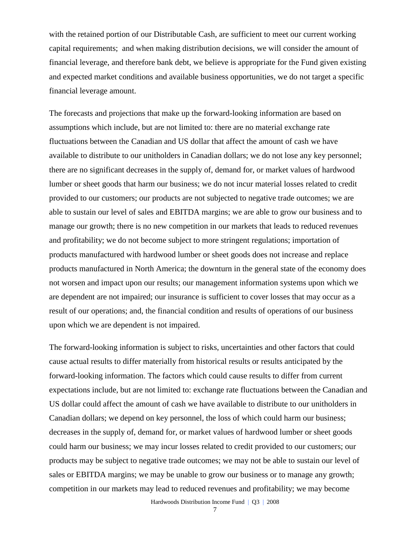with the retained portion of our Distributable Cash, are sufficient to meet our current working capital requirements; and when making distribution decisions, we will consider the amount of financial leverage, and therefore bank debt, we believe is appropriate for the Fund given existing and expected market conditions and available business opportunities, we do not target a specific financial leverage amount.

The forecasts and projections that make up the forward-looking information are based on assumptions which include, but are not limited to: there are no material exchange rate fluctuations between the Canadian and US dollar that affect the amount of cash we have available to distribute to our unitholders in Canadian dollars; we do not lose any key personnel; there are no significant decreases in the supply of, demand for, or market values of hardwood lumber or sheet goods that harm our business; we do not incur material losses related to credit provided to our customers; our products are not subjected to negative trade outcomes; we are able to sustain our level of sales and EBITDA margins; we are able to grow our business and to manage our growth; there is no new competition in our markets that leads to reduced revenues and profitability; we do not become subject to more stringent regulations; importation of products manufactured with hardwood lumber or sheet goods does not increase and replace products manufactured in North America; the downturn in the general state of the economy does not worsen and impact upon our results; our management information systems upon which we are dependent are not impaired; our insurance is sufficient to cover losses that may occur as a result of our operations; and, the financial condition and results of operations of our business upon which we are dependent is not impaired.

The forward-looking information is subject to risks, uncertainties and other factors that could cause actual results to differ materially from historical results or results anticipated by the forward-looking information. The factors which could cause results to differ from current expectations include, but are not limited to: exchange rate fluctuations between the Canadian and US dollar could affect the amount of cash we have available to distribute to our unitholders in Canadian dollars; we depend on key personnel, the loss of which could harm our business; decreases in the supply of, demand for, or market values of hardwood lumber or sheet goods could harm our business; we may incur losses related to credit provided to our customers; our products may be subject to negative trade outcomes; we may not be able to sustain our level of sales or EBITDA margins; we may be unable to grow our business or to manage any growth; competition in our markets may lead to reduced revenues and profitability; we may become

Hardwoods Distribution Income Fund | Q3 | 2008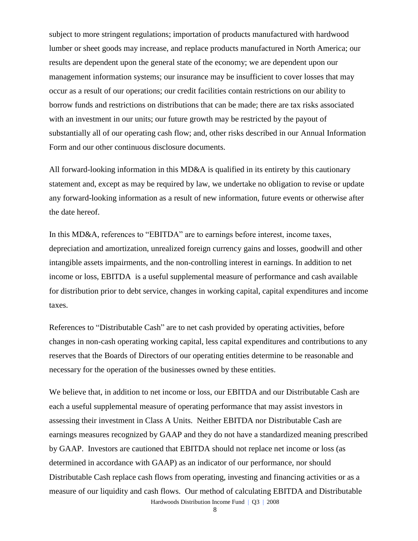subject to more stringent regulations; importation of products manufactured with hardwood lumber or sheet goods may increase, and replace products manufactured in North America; our results are dependent upon the general state of the economy; we are dependent upon our management information systems; our insurance may be insufficient to cover losses that may occur as a result of our operations; our credit facilities contain restrictions on our ability to borrow funds and restrictions on distributions that can be made; there are tax risks associated with an investment in our units; our future growth may be restricted by the payout of substantially all of our operating cash flow; and, other risks described in our Annual Information Form and our other continuous disclosure documents.

All forward-looking information in this MD&A is qualified in its entirety by this cautionary statement and, except as may be required by law, we undertake no obligation to revise or update any forward-looking information as a result of new information, future events or otherwise after the date hereof.

In this MD&A, references to "EBITDA" are to earnings before interest, income taxes, depreciation and amortization, unrealized foreign currency gains and losses, goodwill and other intangible assets impairments, and the non-controlling interest in earnings. In addition to net income or loss, EBITDA is a useful supplemental measure of performance and cash available for distribution prior to debt service, changes in working capital, capital expenditures and income taxes.

References to "Distributable Cash" are to net cash provided by operating activities, before changes in non-cash operating working capital, less capital expenditures and contributions to any reserves that the Boards of Directors of our operating entities determine to be reasonable and necessary for the operation of the businesses owned by these entities.

Hardwoods Distribution Income Fund | Q3 | 2008 We believe that, in addition to net income or loss, our EBITDA and our Distributable Cash are each a useful supplemental measure of operating performance that may assist investors in assessing their investment in Class A Units. Neither EBITDA nor Distributable Cash are earnings measures recognized by GAAP and they do not have a standardized meaning prescribed by GAAP. Investors are cautioned that EBITDA should not replace net income or loss (as determined in accordance with GAAP) as an indicator of our performance, nor should Distributable Cash replace cash flows from operating, investing and financing activities or as a measure of our liquidity and cash flows. Our method of calculating EBITDA and Distributable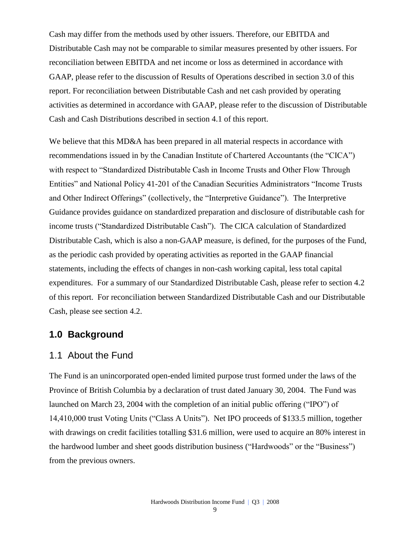Cash may differ from the methods used by other issuers. Therefore, our EBITDA and Distributable Cash may not be comparable to similar measures presented by other issuers. For reconciliation between EBITDA and net income or loss as determined in accordance with GAAP, please refer to the discussion of Results of Operations described in section 3.0 of this report. For reconciliation between Distributable Cash and net cash provided by operating activities as determined in accordance with GAAP, please refer to the discussion of Distributable Cash and Cash Distributions described in section 4.1 of this report.

We believe that this MD&A has been prepared in all material respects in accordance with recommendations issued in by the Canadian Institute of Chartered Accountants (the "CICA") with respect to "Standardized Distributable Cash in Income Trusts and Other Flow Through Entities" and National Policy 41-201 of the Canadian Securities Administrators "Income Trusts and Other Indirect Offerings" (collectively, the "Interpretive Guidance"). The Interpretive Guidance provides guidance on standardized preparation and disclosure of distributable cash for income trusts ("Standardized Distributable Cash"). The CICA calculation of Standardized Distributable Cash, which is also a non-GAAP measure, is defined, for the purposes of the Fund, as the periodic cash provided by operating activities as reported in the GAAP financial statements, including the effects of changes in non-cash working capital, less total capital expenditures. For a summary of our Standardized Distributable Cash, please refer to section 4.2 of this report. For reconciliation between Standardized Distributable Cash and our Distributable Cash, please see section 4.2.

### **1.0 Background**

### 1.1 About the Fund

The Fund is an unincorporated open-ended limited purpose trust formed under the laws of the Province of British Columbia by a declaration of trust dated January 30, 2004. The Fund was launched on March 23, 2004 with the completion of an initial public offering ("IPO") of 14,410,000 trust Voting Units ("Class A Units"). Net IPO proceeds of \$133.5 million, together with drawings on credit facilities totalling \$31.6 million, were used to acquire an 80% interest in the hardwood lumber and sheet goods distribution business ("Hardwoods" or the "Business") from the previous owners.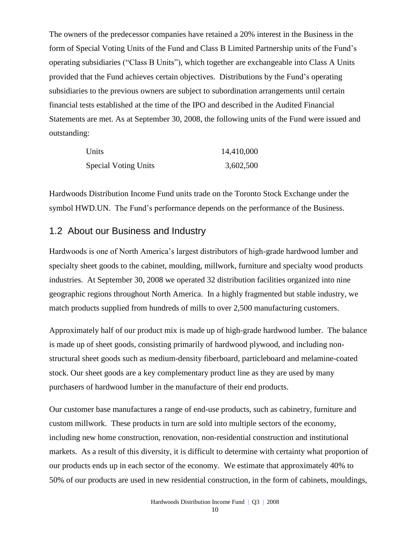The owners of the predecessor companies have retained a 20% interest in the Business in the form of Special Voting Units of the Fund and Class B Limited Partnership units of the Fund's operating subsidiaries ("Class B Units"), which together are exchangeable into Class A Units provided that the Fund achieves certain objectives. Distributions by the Fund's operating subsidiaries to the previous owners are subject to subordination arrangements until certain financial tests established at the time of the IPO and described in the Audited Financial Statements are met. As at September 30, 2008, the following units of the Fund were issued and outstanding:

| Units                       | 14,410,000 |
|-----------------------------|------------|
| <b>Special Voting Units</b> | 3,602,500  |

Hardwoods Distribution Income Fund units trade on the Toronto Stock Exchange under the symbol HWD.UN. The Fund's performance depends on the performance of the Business.

## 1.2 About our Business and Industry

Hardwoods is one of North America's largest distributors of high-grade hardwood lumber and specialty sheet goods to the cabinet, moulding, millwork, furniture and specialty wood products industries. At September 30, 2008 we operated 32 distribution facilities organized into nine geographic regions throughout North America. In a highly fragmented but stable industry, we match products supplied from hundreds of mills to over 2,500 manufacturing customers.

Approximately half of our product mix is made up of high-grade hardwood lumber. The balance is made up of sheet goods, consisting primarily of hardwood plywood, and including nonstructural sheet goods such as medium-density fiberboard, particleboard and melamine-coated stock. Our sheet goods are a key complementary product line as they are used by many purchasers of hardwood lumber in the manufacture of their end products.

Our customer base manufactures a range of end-use products, such as cabinetry, furniture and custom millwork. These products in turn are sold into multiple sectors of the economy, including new home construction, renovation, non-residential construction and institutional markets. As a result of this diversity, it is difficult to determine with certainty what proportion of our products ends up in each sector of the economy. We estimate that approximately 40% to 50% of our products are used in new residential construction, in the form of cabinets, mouldings,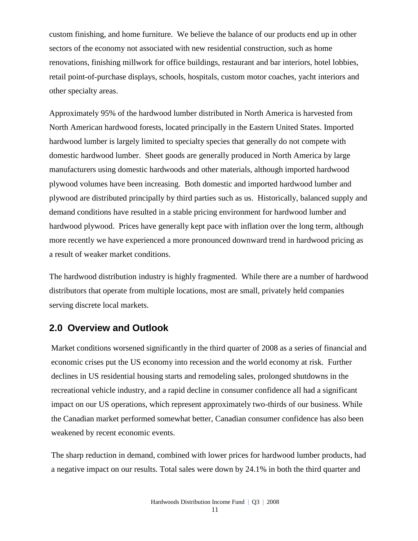custom finishing, and home furniture. We believe the balance of our products end up in other sectors of the economy not associated with new residential construction, such as home renovations, finishing millwork for office buildings, restaurant and bar interiors, hotel lobbies, retail point-of-purchase displays, schools, hospitals, custom motor coaches, yacht interiors and other specialty areas.

Approximately 95% of the hardwood lumber distributed in North America is harvested from North American hardwood forests, located principally in the Eastern United States. Imported hardwood lumber is largely limited to specialty species that generally do not compete with domestic hardwood lumber. Sheet goods are generally produced in North America by large manufacturers using domestic hardwoods and other materials, although imported hardwood plywood volumes have been increasing. Both domestic and imported hardwood lumber and plywood are distributed principally by third parties such as us. Historically, balanced supply and demand conditions have resulted in a stable pricing environment for hardwood lumber and hardwood plywood. Prices have generally kept pace with inflation over the long term, although more recently we have experienced a more pronounced downward trend in hardwood pricing as a result of weaker market conditions.

The hardwood distribution industry is highly fragmented. While there are a number of hardwood distributors that operate from multiple locations, most are small, privately held companies serving discrete local markets.

## **2.0 Overview and Outlook**

Market conditions worsened significantly in the third quarter of 2008 as a series of financial and economic crises put the US economy into recession and the world economy at risk. Further declines in US residential housing starts and remodeling sales, prolonged shutdowns in the recreational vehicle industry, and a rapid decline in consumer confidence all had a significant impact on our US operations, which represent approximately two-thirds of our business. While the Canadian market performed somewhat better, Canadian consumer confidence has also been weakened by recent economic events.

The sharp reduction in demand, combined with lower prices for hardwood lumber products, had a negative impact on our results. Total sales were down by 24.1% in both the third quarter and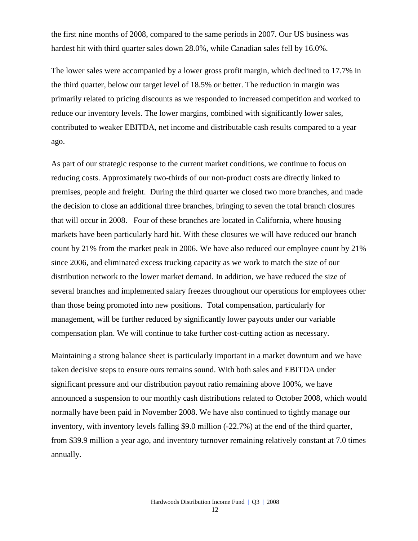the first nine months of 2008, compared to the same periods in 2007. Our US business was hardest hit with third quarter sales down 28.0%, while Canadian sales fell by 16.0%.

The lower sales were accompanied by a lower gross profit margin, which declined to 17.7% in the third quarter, below our target level of 18.5% or better. The reduction in margin was primarily related to pricing discounts as we responded to increased competition and worked to reduce our inventory levels. The lower margins, combined with significantly lower sales, contributed to weaker EBITDA, net income and distributable cash results compared to a year ago.

As part of our strategic response to the current market conditions, we continue to focus on reducing costs. Approximately two-thirds of our non-product costs are directly linked to premises, people and freight. During the third quarter we closed two more branches, and made the decision to close an additional three branches, bringing to seven the total branch closures that will occur in 2008. Four of these branches are located in California, where housing markets have been particularly hard hit. With these closures we will have reduced our branch count by 21% from the market peak in 2006. We have also reduced our employee count by 21% since 2006, and eliminated excess trucking capacity as we work to match the size of our distribution network to the lower market demand. In addition, we have reduced the size of several branches and implemented salary freezes throughout our operations for employees other than those being promoted into new positions. Total compensation, particularly for management, will be further reduced by significantly lower payouts under our variable compensation plan. We will continue to take further cost-cutting action as necessary.

Maintaining a strong balance sheet is particularly important in a market downturn and we have taken decisive steps to ensure ours remains sound. With both sales and EBITDA under significant pressure and our distribution payout ratio remaining above 100%, we have announced a suspension to our monthly cash distributions related to October 2008, which would normally have been paid in November 2008. We have also continued to tightly manage our inventory, with inventory levels falling \$9.0 million (-22.7%) at the end of the third quarter, from \$39.9 million a year ago, and inventory turnover remaining relatively constant at 7.0 times annually.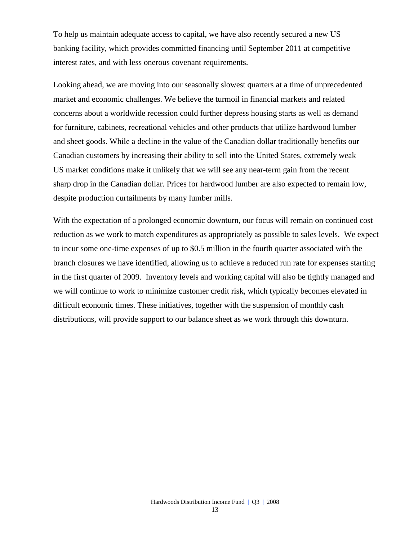To help us maintain adequate access to capital, we have also recently secured a new US banking facility, which provides committed financing until September 2011 at competitive interest rates, and with less onerous covenant requirements.

Looking ahead, we are moving into our seasonally slowest quarters at a time of unprecedented market and economic challenges. We believe the turmoil in financial markets and related concerns about a worldwide recession could further depress housing starts as well as demand for furniture, cabinets, recreational vehicles and other products that utilize hardwood lumber and sheet goods. While a decline in the value of the Canadian dollar traditionally benefits our Canadian customers by increasing their ability to sell into the United States, extremely weak US market conditions make it unlikely that we will see any near-term gain from the recent sharp drop in the Canadian dollar. Prices for hardwood lumber are also expected to remain low, despite production curtailments by many lumber mills.

With the expectation of a prolonged economic downturn, our focus will remain on continued cost reduction as we work to match expenditures as appropriately as possible to sales levels. We expect to incur some one-time expenses of up to \$0.5 million in the fourth quarter associated with the branch closures we have identified, allowing us to achieve a reduced run rate for expenses starting in the first quarter of 2009. Inventory levels and working capital will also be tightly managed and we will continue to work to minimize customer credit risk, which typically becomes elevated in difficult economic times. These initiatives, together with the suspension of monthly cash distributions, will provide support to our balance sheet as we work through this downturn.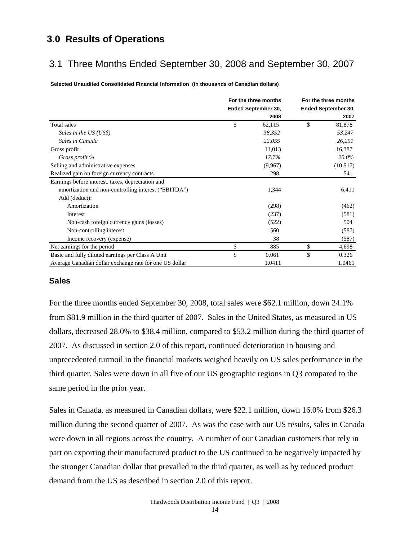## **3.0 Results of Operations**

## 3.1 Three Months Ended September 30, 2008 and September 30, 2007

**Selected Unaudited Consolidated Financial Information (in thousands of Canadian dollars)**

|                                                         | For the three months |                     | For the three months |                     |  |
|---------------------------------------------------------|----------------------|---------------------|----------------------|---------------------|--|
|                                                         |                      | Ended September 30, |                      | Ended September 30, |  |
|                                                         |                      | 2008                |                      | 2007                |  |
| Total sales                                             | \$                   | 62,115              | \$                   | 81,878              |  |
| Sales in the US (US\$)                                  |                      | 38,352              |                      | 53,247              |  |
| Sales in Canada                                         |                      | 22,055              |                      | 26,251              |  |
| Gross profit                                            |                      | 11,013              |                      | 16,387              |  |
| Gross profit %                                          |                      | 17.7%               |                      | 20.0%               |  |
| Selling and administrative expenses                     |                      | (9,967)             |                      | (10,517)            |  |
| Realized gain on foreign currency contracts             |                      | 298                 |                      | 541                 |  |
| Earnings before interest, taxes, depreciation and       |                      |                     |                      |                     |  |
| amortization and non-controlling interest ("EBITDA")    |                      | 1,344               |                      | 6,411               |  |
| Add (deduct):                                           |                      |                     |                      |                     |  |
| Amortization                                            |                      | (298)               |                      | (462)               |  |
| Interest                                                |                      | (237)               |                      | (581)               |  |
| Non-cash foreign currency gains (losses)                |                      | (522)               |                      | 504                 |  |
| Non-controlling interest                                |                      | 560                 |                      | (587)               |  |
| Income recovery (expense)                               |                      | 38                  |                      | (587)               |  |
| Net earnings for the period                             | \$                   | 885                 | \$                   | 4,698               |  |
| Basic and fully diluted earnings per Class A Unit       | \$                   | 0.061               | \$                   | 0.326               |  |
| Average Canadian dollar exchange rate for one US dollar |                      | 1.0411              |                      | 1.0461              |  |

### **Sales**

For the three months ended September 30, 2008, total sales were \$62.1 million, down 24.1% from \$81.9 million in the third quarter of 2007. Sales in the United States, as measured in US dollars, decreased 28.0% to \$38.4 million, compared to \$53.2 million during the third quarter of 2007. As discussed in section 2.0 of this report, continued deterioration in housing and unprecedented turmoil in the financial markets weighed heavily on US sales performance in the third quarter. Sales were down in all five of our US geographic regions in Q3 compared to the same period in the prior year.

Sales in Canada, as measured in Canadian dollars, were \$22.1 million, down 16.0% from \$26.3 million during the second quarter of 2007. As was the case with our US results, sales in Canada were down in all regions across the country. A number of our Canadian customers that rely in part on exporting their manufactured product to the US continued to be negatively impacted by the stronger Canadian dollar that prevailed in the third quarter, as well as by reduced product demand from the US as described in section 2.0 of this report.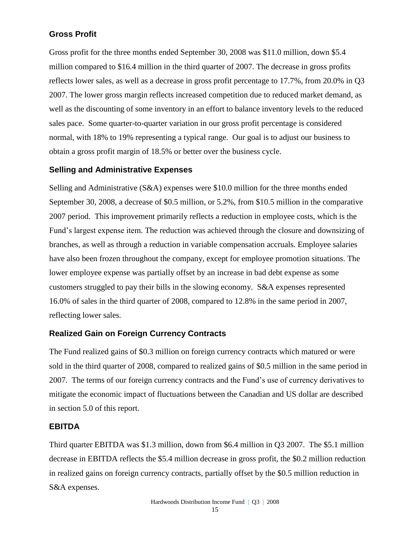## **Gross Profit**

Gross profit for the three months ended September 30, 2008 was \$11.0 million, down \$5.4 million compared to \$16.4 million in the third quarter of 2007. The decrease in gross profits reflects lower sales, as well as a decrease in gross profit percentage to 17.7%, from 20.0% in Q3 2007. The lower gross margin reflects increased competition due to reduced market demand, as well as the discounting of some inventory in an effort to balance inventory levels to the reduced sales pace. Some quarter-to-quarter variation in our gross profit percentage is considered normal, with 18% to 19% representing a typical range. Our goal is to adjust our business to obtain a gross profit margin of 18.5% or better over the business cycle.

### **Selling and Administrative Expenses**

Selling and Administrative (S&A) expenses were \$10.0 million for the three months ended September 30, 2008, a decrease of \$0.5 million, or 5.2%, from \$10.5 million in the comparative 2007 period. This improvement primarily reflects a reduction in employee costs, which is the Fund's largest expense item. The reduction was achieved through the closure and downsizing of branches, as well as through a reduction in variable compensation accruals. Employee salaries have also been frozen throughout the company, except for employee promotion situations. The lower employee expense was partially offset by an increase in bad debt expense as some customers struggled to pay their bills in the slowing economy. S&A expenses represented 16.0% of sales in the third quarter of 2008, compared to 12.8% in the same period in 2007, reflecting lower sales.

### **Realized Gain on Foreign Currency Contracts**

The Fund realized gains of \$0.3 million on foreign currency contracts which matured or were sold in the third quarter of 2008, compared to realized gains of \$0.5 million in the same period in 2007. The terms of our foreign currency contracts and the Fund's use of currency derivatives to mitigate the economic impact of fluctuations between the Canadian and US dollar are described in section 5.0 of this report.

### **EBITDA**

Third quarter EBITDA was \$1.3 million, down from \$6.4 million in Q3 2007. The \$5.1 million decrease in EBITDA reflects the \$5.4 million decrease in gross profit, the \$0.2 million reduction in realized gains on foreign currency contracts, partially offset by the \$0.5 million reduction in S&A expenses.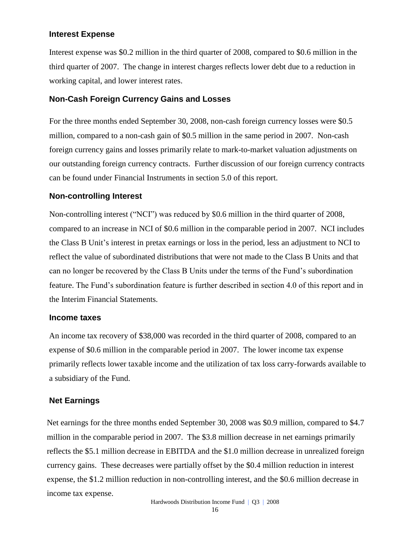### **Interest Expense**

Interest expense was \$0.2 million in the third quarter of 2008, compared to \$0.6 million in the third quarter of 2007. The change in interest charges reflects lower debt due to a reduction in working capital, and lower interest rates.

### **Non-Cash Foreign Currency Gains and Losses**

For the three months ended September 30, 2008, non-cash foreign currency losses were \$0.5 million, compared to a non-cash gain of \$0.5 million in the same period in 2007. Non-cash foreign currency gains and losses primarily relate to mark-to-market valuation adjustments on our outstanding foreign currency contracts. Further discussion of our foreign currency contracts can be found under Financial Instruments in section 5.0 of this report.

### **Non-controlling Interest**

Non-controlling interest ("NCI") was reduced by \$0.6 million in the third quarter of 2008, compared to an increase in NCI of \$0.6 million in the comparable period in 2007. NCI includes the Class B Unit's interest in pretax earnings or loss in the period, less an adjustment to NCI to reflect the value of subordinated distributions that were not made to the Class B Units and that can no longer be recovered by the Class B Units under the terms of the Fund's subordination feature. The Fund's subordination feature is further described in section 4.0 of this report and in the Interim Financial Statements.

### **Income taxes**

An income tax recovery of \$38,000 was recorded in the third quarter of 2008, compared to an expense of \$0.6 million in the comparable period in 2007. The lower income tax expense primarily reflects lower taxable income and the utilization of tax loss carry-forwards available to a subsidiary of the Fund.

### **Net Earnings**

Net earnings for the three months ended September 30, 2008 was \$0.9 million, compared to \$4.7 million in the comparable period in 2007. The \$3.8 million decrease in net earnings primarily reflects the \$5.1 million decrease in EBITDA and the \$1.0 million decrease in unrealized foreign currency gains. These decreases were partially offset by the \$0.4 million reduction in interest expense, the \$1.2 million reduction in non-controlling interest, and the \$0.6 million decrease in income tax expense.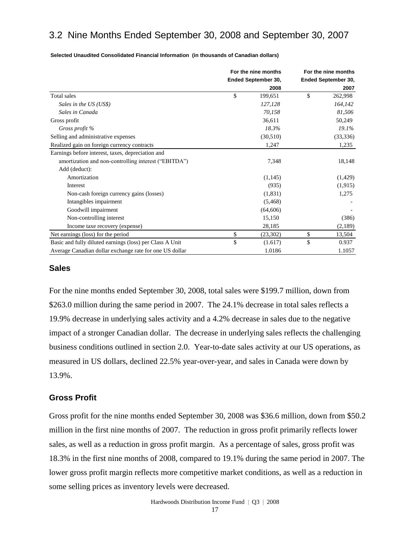## 3.2 Nine Months Ended September 30, 2008 and September 30, 2007

|                                                          | For the nine months |                     | For the nine months |
|----------------------------------------------------------|---------------------|---------------------|---------------------|
|                                                          |                     | Ended September 30, | Ended September 30, |
|                                                          |                     | 2008                | 2007                |
| Total sales                                              | \$                  | 199,651             | \$<br>262,998       |
| Sales in the US (US\$)                                   |                     | 127,128             | 164,142             |
| Sales in Canada                                          |                     | 70,158              | 81,506              |
| Gross profit                                             |                     | 36,611              | 50,249              |
| Gross profit %                                           |                     | 18.3%               | 19.1%               |
| Selling and administrative expenses                      |                     | (30,510)            | (33, 336)           |
| Realized gain on foreign currency contracts              |                     | 1,247               | 1,235               |
| Earnings before interest, taxes, depreciation and        |                     |                     |                     |
| amortization and non-controlling interest ("EBITDA")     |                     | 7,348               | 18,148              |
| Add (deduct):                                            |                     |                     |                     |
| Amortization                                             |                     | (1,145)             | (1,429)             |
| <b>Interest</b>                                          |                     | (935)               | (1,915)             |
| Non-cash foreign currency gains (losses)                 |                     | (1,831)             | 1,275               |
| Intangibles impairment                                   |                     | (5, 468)            |                     |
| Goodwill impairment                                      |                     | (64, 606)           |                     |
| Non-controlling interest                                 |                     | 15,150              | (386)               |
| Income taxe recovery (expense)                           |                     | 28,185              | (2,189)             |
| Net earnings (loss) for the period                       | \$                  | (23,302)            | \$<br>13,504        |
| Basic and fully diluted earnings (loss) per Class A Unit | \$                  | (1.617)             | \$<br>0.937         |
| Average Canadian dollar exchange rate for one US dollar  |                     | 1.0186              | 1.1057              |

**Selected Unaudited Consolidated Financial Information (in thousands of Canadian dollars)**

#### **Sales**

For the nine months ended September 30, 2008, total sales were \$199.7 million, down from \$263.0 million during the same period in 2007. The 24.1% decrease in total sales reflects a 19.9% decrease in underlying sales activity and a 4.2% decrease in sales due to the negative impact of a stronger Canadian dollar. The decrease in underlying sales reflects the challenging business conditions outlined in section 2.0. Year-to-date sales activity at our US operations, as measured in US dollars, declined 22.5% year-over-year, and sales in Canada were down by 13.9%.

#### **Gross Profit**

Gross profit for the nine months ended September 30, 2008 was \$36.6 million, down from \$50.2 million in the first nine months of 2007. The reduction in gross profit primarily reflects lower sales, as well as a reduction in gross profit margin. As a percentage of sales, gross profit was 18.3% in the first nine months of 2008, compared to 19.1% during the same period in 2007. The lower gross profit margin reflects more competitive market conditions, as well as a reduction in some selling prices as inventory levels were decreased.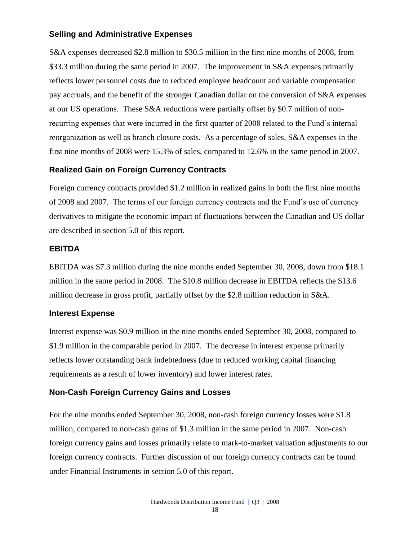### **Selling and Administrative Expenses**

S&A expenses decreased \$2.8 million to \$30.5 million in the first nine months of 2008, from \$33.3 million during the same period in 2007. The improvement in S&A expenses primarily reflects lower personnel costs due to reduced employee headcount and variable compensation pay accruals, and the benefit of the stronger Canadian dollar on the conversion of S&A expenses at our US operations. These S&A reductions were partially offset by \$0.7 million of nonrecurring expenses that were incurred in the first quarter of 2008 related to the Fund's internal reorganization as well as branch closure costs. As a percentage of sales, S&A expenses in the first nine months of 2008 were 15.3% of sales, compared to 12.6% in the same period in 2007.

### **Realized Gain on Foreign Currency Contracts**

Foreign currency contracts provided \$1.2 million in realized gains in both the first nine months of 2008 and 2007. The terms of our foreign currency contracts and the Fund's use of currency derivatives to mitigate the economic impact of fluctuations between the Canadian and US dollar are described in section 5.0 of this report.

### **EBITDA**

EBITDA was \$7.3 million during the nine months ended September 30, 2008, down from \$18.1 million in the same period in 2008. The \$10.8 million decrease in EBITDA reflects the \$13.6 million decrease in gross profit, partially offset by the \$2.8 million reduction in S&A.

### **Interest Expense**

Interest expense was \$0.9 million in the nine months ended September 30, 2008, compared to \$1.9 million in the comparable period in 2007. The decrease in interest expense primarily reflects lower outstanding bank indebtedness (due to reduced working capital financing requirements as a result of lower inventory) and lower interest rates.

## **Non-Cash Foreign Currency Gains and Losses**

For the nine months ended September 30, 2008, non-cash foreign currency losses were \$1.8 million, compared to non-cash gains of \$1.3 million in the same period in 2007. Non-cash foreign currency gains and losses primarily relate to mark-to-market valuation adjustments to our foreign currency contracts. Further discussion of our foreign currency contracts can be found under Financial Instruments in section 5.0 of this report.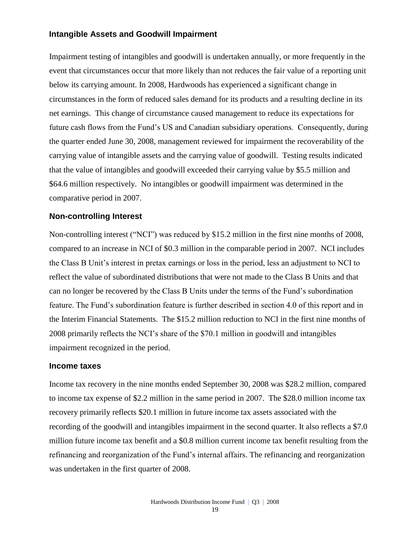### **Intangible Assets and Goodwill Impairment**

Impairment testing of intangibles and goodwill is undertaken annually, or more frequently in the event that circumstances occur that more likely than not reduces the fair value of a reporting unit below its carrying amount. In 2008, Hardwoods has experienced a significant change in circumstances in the form of reduced sales demand for its products and a resulting decline in its net earnings. This change of circumstance caused management to reduce its expectations for future cash flows from the Fund's US and Canadian subsidiary operations. Consequently, during the quarter ended June 30, 2008, management reviewed for impairment the recoverability of the carrying value of intangible assets and the carrying value of goodwill. Testing results indicated that the value of intangibles and goodwill exceeded their carrying value by \$5.5 million and \$64.6 million respectively. No intangibles or goodwill impairment was determined in the comparative period in 2007.

### **Non-controlling Interest**

Non-controlling interest ("NCI") was reduced by \$15.2 million in the first nine months of 2008, compared to an increase in NCI of \$0.3 million in the comparable period in 2007. NCI includes the Class B Unit's interest in pretax earnings or loss in the period, less an adjustment to NCI to reflect the value of subordinated distributions that were not made to the Class B Units and that can no longer be recovered by the Class B Units under the terms of the Fund's subordination feature. The Fund's subordination feature is further described in section 4.0 of this report and in the Interim Financial Statements. The \$15.2 million reduction to NCI in the first nine months of 2008 primarily reflects the NCI's share of the \$70.1 million in goodwill and intangibles impairment recognized in the period.

### **Income taxes**

Income tax recovery in the nine months ended September 30, 2008 was \$28.2 million, compared to income tax expense of \$2.2 million in the same period in 2007. The \$28.0 million income tax recovery primarily reflects \$20.1 million in future income tax assets associated with the recording of the goodwill and intangibles impairment in the second quarter. It also reflects a \$7.0 million future income tax benefit and a \$0.8 million current income tax benefit resulting from the refinancing and reorganization of the Fund's internal affairs. The refinancing and reorganization was undertaken in the first quarter of 2008.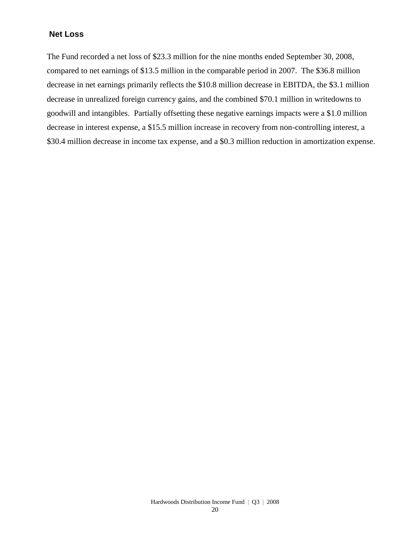### **Net Loss**

The Fund recorded a net loss of \$23.3 million for the nine months ended September 30, 2008, compared to net earnings of \$13.5 million in the comparable period in 2007. The \$36.8 million decrease in net earnings primarily reflects the \$10.8 million decrease in EBITDA, the \$3.1 million decrease in unrealized foreign currency gains, and the combined \$70.1 million in writedowns to goodwill and intangibles. Partially offsetting these negative earnings impacts were a \$1.0 million decrease in interest expense, a \$15.5 million increase in recovery from non-controlling interest, a \$30.4 million decrease in income tax expense, and a \$0.3 million reduction in amortization expense.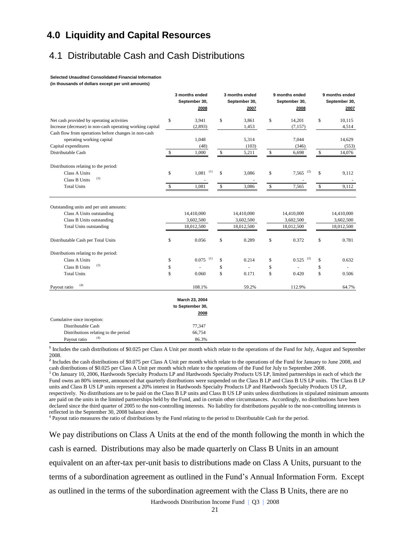## **4.0 Liquidity and Capital Resources**

## 4.1 Distributable Cash and Cash Distributions

#### **Selected Unaudited Consolidated Financial Information**

**(in thousands of dollars except per unit amounts)**

|                                                                                                                                     |              | 3 months ended<br>September 30,<br>2008 |              | 3 months ended<br>September 30,<br>2007 |              | 9 months ended<br>September 30,<br>2008 |              | 9 months ended<br>September 30,<br>2007 |
|-------------------------------------------------------------------------------------------------------------------------------------|--------------|-----------------------------------------|--------------|-----------------------------------------|--------------|-----------------------------------------|--------------|-----------------------------------------|
| Net cash provided by operating activities                                                                                           | \$           | 3,941                                   | \$           | 3,861                                   | \$           | 14,201                                  | \$           | 10,115                                  |
| Increase (decrease) in non-cash operating working capital                                                                           |              | (2,893)                                 |              | 1,453                                   |              | (7, 157)                                |              | 4,514                                   |
| Cash flow from operations before changes in non-cash                                                                                |              |                                         |              |                                         |              |                                         |              |                                         |
| operating working capital                                                                                                           |              | 1,048                                   |              | 5,314                                   |              | 7,044                                   |              | 14,629                                  |
| Capital expenditures                                                                                                                |              | (48)                                    |              | (103)                                   |              | (346)                                   |              | (553)                                   |
| Distributable Cash                                                                                                                  | \$           | 1,000                                   | \$           | 5,211                                   | \$           | 6,698                                   | \$           | 14,076                                  |
| Distributions relating to the period:                                                                                               |              |                                         |              |                                         |              |                                         |              |                                         |
| Class A Units                                                                                                                       | \$           | (1)<br>1,081                            | \$           | 3,086                                   | \$           | (2)<br>7,565                            | \$           | 9,112                                   |
| (3)<br><b>Class B Units</b>                                                                                                         |              |                                         |              |                                         |              |                                         |              |                                         |
| <b>Total Units</b>                                                                                                                  | $\mathbb{S}$ | 1,081                                   | $\mathbb{S}$ | 3,086                                   | $\mathbb{S}$ | 7,565                                   | $\mathbb{S}$ | 9,112                                   |
| Outstanding units and per unit amounts:<br>Class A Units outstanding<br>Class B Units outstanding<br><b>Total Units outstanding</b> |              | 14,410,000<br>3,602,500<br>18,012,500   |              | 14,410,000<br>3,602,500<br>18,012,500   |              | 14,410,000<br>3,602,500<br>18,012,500   |              | 14,410,000<br>3,602,500<br>18,012,500   |
| Distributable Cash per Total Units                                                                                                  | \$           | 0.056                                   | \$           | 0.289                                   | \$           | 0.372                                   | \$           | 0.781                                   |
| Distributions relating to the period:                                                                                               |              |                                         |              |                                         |              |                                         |              |                                         |
| Class A Units                                                                                                                       | \$           | (1)<br>0.075                            | \$           | 0.214                                   | \$           | (2)<br>0.525                            | \$           | 0.632                                   |
| (3)<br>Class B Units                                                                                                                | \$           |                                         | \$           | ä,                                      | \$           | ä,                                      | \$           |                                         |
| <b>Total Units</b>                                                                                                                  | \$           | 0.060                                   | \$           | 0.171                                   | \$           | 0.420                                   | \$           | 0.506                                   |
| (4)<br>Payout ratio                                                                                                                 |              | 108.1%                                  |              | 59.2%                                   |              | 112.9%                                  |              | 64.7%                                   |
|                                                                                                                                     |              | March 23, 2004                          |              |                                         |              |                                         |              |                                         |
|                                                                                                                                     |              | to September 30,                        |              |                                         |              |                                         |              |                                         |
|                                                                                                                                     |              | 2008                                    |              |                                         |              |                                         |              |                                         |
| Cumulative since inception:                                                                                                         |              |                                         |              |                                         |              |                                         |              |                                         |
| Distributable Cash                                                                                                                  |              | 77,347                                  |              |                                         |              |                                         |              |                                         |
| Distributions relating to the period                                                                                                |              | 66,754                                  |              |                                         |              |                                         |              |                                         |
| (4)<br>Payout ratio                                                                                                                 |              | 86.3%                                   |              |                                         |              |                                         |              |                                         |

**1** Includes the cash distributions of \$0.025 per Class A Unit per month which relate to the operations of the Fund for July, August and September 2008.

<sup>2</sup> Includes the cash distributions of \$0.075 per Class A Unit per month which relate to the operations of the Fund for January to June 2008, and cash distributions of \$0.025 per Class A Unit per month which relate to the operations of the Fund for July to September 2008.

<sup>3</sup> On January 10, 2006, Hardwoods Specialty Products LP and Hardwoods Specialty Products US LP, limited partnerships in each of which the Fund owns an 80% interest, announced that quarterly distributions were suspended on the Class B LP and Class B US LP units. The Class B LP units and Class B US LP units represent a 20% interest in Hardwoods Specialty Products LP and Hardwoods Specialty Products US LP, respectively. No distributions are to be paid on the Class B LP units and Class B US LP units unless distributions in stipulated minimum amounts are paid on the units in the limited partnerships held by the Fund, and in certain other circumstances. Accordingly, no distributions have been declared since the third quarter of 2005 to the non-controlling interests. No liability for distributions payable to the non-controlling interests is reflected in the September 30, 2008 balance sheet.

4 Payout ratio measures the ratio of distributions by the Fund relating to the period to Distributable Cash for the period.

We pay distributions on Class A Units at the end of the month following the month in which the cash is earned. Distributions may also be made quarterly on Class B Units in an amount equivalent on an after-tax per-unit basis to distributions made on Class A Units, pursuant to the terms of a subordination agreement as outlined in the Fund's Annual Information Form. Except as outlined in the terms of the subordination agreement with the Class B Units, there are no

Hardwoods Distribution Income Fund | Q3 | 2008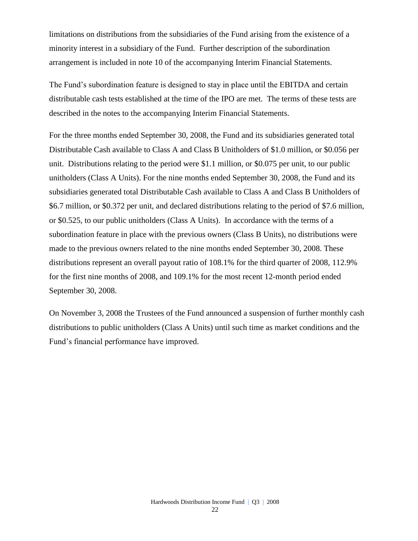limitations on distributions from the subsidiaries of the Fund arising from the existence of a minority interest in a subsidiary of the Fund. Further description of the subordination arrangement is included in note 10 of the accompanying Interim Financial Statements.

The Fund's subordination feature is designed to stay in place until the EBITDA and certain distributable cash tests established at the time of the IPO are met. The terms of these tests are described in the notes to the accompanying Interim Financial Statements.

For the three months ended September 30, 2008, the Fund and its subsidiaries generated total Distributable Cash available to Class A and Class B Unitholders of \$1.0 million, or \$0.056 per unit. Distributions relating to the period were \$1.1 million, or \$0.075 per unit, to our public unitholders (Class A Units). For the nine months ended September 30, 2008, the Fund and its subsidiaries generated total Distributable Cash available to Class A and Class B Unitholders of \$6.7 million, or \$0.372 per unit, and declared distributions relating to the period of \$7.6 million, or \$0.525, to our public unitholders (Class A Units). In accordance with the terms of a subordination feature in place with the previous owners (Class B Units), no distributions were made to the previous owners related to the nine months ended September 30, 2008. These distributions represent an overall payout ratio of 108.1% for the third quarter of 2008, 112.9% for the first nine months of 2008, and 109.1% for the most recent 12-month period ended September 30, 2008.

On November 3, 2008 the Trustees of the Fund announced a suspension of further monthly cash distributions to public unitholders (Class A Units) until such time as market conditions and the Fund's financial performance have improved.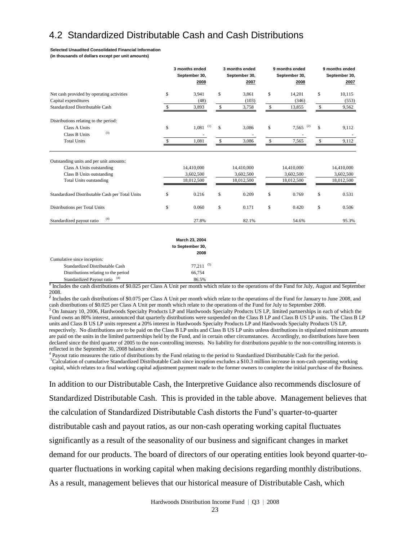## 4.2 Standardized Distributable Cash and Cash Distributions

#### **Selected Unaudited Consolidated Financial Information**

**(in thousands of dollars except per unit amounts)**

|                                                                                                                                     | 3 months ended<br>September 30,<br>2008 | 3 months ended<br>September 30,<br>2007 | 9 months ended<br>September 30,<br>2008 | 9 months ended<br>September 30,<br>2007 |
|-------------------------------------------------------------------------------------------------------------------------------------|-----------------------------------------|-----------------------------------------|-----------------------------------------|-----------------------------------------|
| Net cash provided by operating activities                                                                                           | \$<br>3,941                             | \$<br>3,861                             | \$<br>14,201                            | \$<br>10,115                            |
| Capital expenditures                                                                                                                | (48)                                    | (103)                                   | (346)                                   | (553)                                   |
| Standardized Distributable Cash                                                                                                     | 3,893                                   | \$<br>3,758                             | \$<br>13,855                            | \$<br>9,562                             |
| Distributions relating to the period:                                                                                               |                                         |                                         |                                         |                                         |
| Class A Units                                                                                                                       | \$<br>(1)<br>1,081                      | \$<br>3,086                             | \$<br>(2)<br>7,565                      | \$<br>9,112                             |
| (3)<br><b>Class B Units</b>                                                                                                         |                                         |                                         |                                         | $\overline{\phantom{a}}$                |
| <b>Total Units</b>                                                                                                                  | 1,081                                   | \$<br>3,086                             | \$<br>7,565                             | \$<br>9,112                             |
| Outstanding units and per unit amounts:<br>Class A Units outstanding<br>Class B Units outstanding<br><b>Total Units outstanding</b> | 14,410,000<br>3,602,500<br>18,012,500   | 14,410,000<br>3,602,500<br>18,012,500   | 14,410,000<br>3,602,500<br>18,012,500   | 14,410,000<br>3,602,500<br>18,012,500   |
| Standardized Distributable Cash per Total Units                                                                                     | \$<br>0.216                             | \$<br>0.209                             | \$<br>0.769                             | \$<br>0.531                             |
| Distributions per Total Units                                                                                                       | \$<br>0.060                             | \$<br>0.171                             | \$<br>0.420                             | \$<br>0.506                             |
| (4)<br>Standardized payout ratio                                                                                                    | 27.8%                                   | 82.1%                                   | 54.6%                                   | 95.3%                                   |
|                                                                                                                                     |                                         |                                         |                                         |                                         |

|                                      | March 23, 2004           |
|--------------------------------------|--------------------------|
|                                      | to September 30,<br>2008 |
| Cumulative since inception:          |                          |
| Standardized Distributable Cash      | (5)<br>77.211            |
| Distributions relating to the period | 66,754                   |
| (4)<br>Standardized Payout ratio     | 86.5%                    |

**1** Includes the cash distributions of \$0.025 per Class A Unit per month which relate to the operations of the Fund for July, August and September 2008.

<sup>2</sup> Includes the cash distributions of \$0.075 per Class A Unit per month which relate to the operations of the Fund for January to June 2008, and cash distributions of \$0.025 per Class A Unit per month which relate to the operations of the Fund for July to September 2008.

<sup>3</sup> On January 10, 2006, Hardwoods Specialty Products LP and Hardwoods Specialty Products US LP, limited partnerships in each of which the Fund owns an 80% interest, announced that quarterly distributions were suspended on the Class B LP and Class B US LP units. The Class B LP units and Class B US LP units represent a 20% interest in Hardwoods Specialty Products LP and Hardwoods Specialty Products US LP, respectively. No distributions are to be paid on the Class B LP units and Class B US LP units unless distributions in stipulated minimum amounts are paid on the units in the limited partnerships held by the Fund, and in certain other circumstances. Accordingly, no distributions have been declared since the third quarter of 2005 to the non-controlling interests. No liability for distributions payable to the non-controlling interests is reflected in the September 30, 2008 balance sheet.

<sup>4</sup> Payout ratio measures the ratio of distributions by the Fund relating to the period to Standardized Distributable Cash for the period. <sup>5</sup>Calculation of cumulative Standardized Distributable Cash since inception excludes a \$10.3 million increase in non-cash operating working capital, which relates to a final working capital adjustment payment made to the former owners to complete the initial purchase of the Business.

In addition to our Distributable Cash, the Interpretive Guidance also recommends disclosure of Standardized Distributable Cash. This is provided in the table above. Management believes that the calculation of Standardized Distributable Cash distorts the Fund's quarter-to-quarter distributable cash and payout ratios, as our non-cash operating working capital fluctuates significantly as a result of the seasonality of our business and significant changes in market demand for our products. The board of directors of our operating entities look beyond quarter-toquarter fluctuations in working capital when making decisions regarding monthly distributions. As a result, management believes that our historical measure of Distributable Cash, which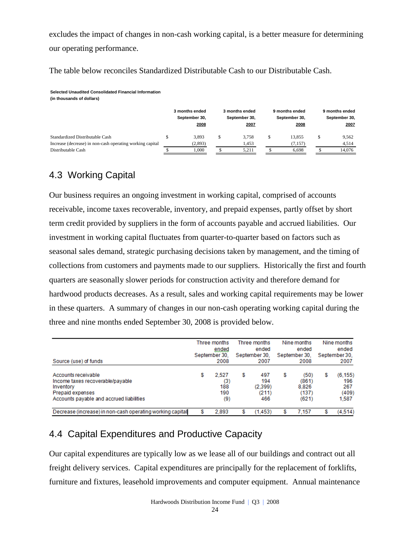excludes the impact of changes in non-cash working capital, is a better measure for determining our operating performance.

The table below reconciles Standardized Distributable Cash to our Distributable Cash.

**Selected Unaudited Consolidated Financial Information** 

**(in thousands of dollars)**

|                                                           | 3 months ended<br>September 30,<br>2008 | 3 months ended<br>September 30,<br>2007 | 9 months ended<br>September 30,<br>2008 | 9 months ended<br>September 30,<br>2007 |
|-----------------------------------------------------------|-----------------------------------------|-----------------------------------------|-----------------------------------------|-----------------------------------------|
| Standardized Distributable Cash                           | 3.893                                   | 3.758                                   | 13.855                                  | 9.562                                   |
| Increase (decrease) in non-cash operating working capital | (2,893)                                 | 1.453                                   | (7, 157)                                | 4.514                                   |
| Distributable Cash                                        | .000                                    | 5.211                                   | 6.698                                   | 14.076                                  |

## 4.3 Working Capital

Our business requires an ongoing investment in working capital, comprised of accounts receivable, income taxes recoverable, inventory, and prepaid expenses, partly offset by short term credit provided by suppliers in the form of accounts payable and accrued liabilities. Our investment in working capital fluctuates from quarter-to-quarter based on factors such as seasonal sales demand, strategic purchasing decisions taken by management, and the timing of collections from customers and payments made to our suppliers. Historically the first and fourth quarters are seasonally slower periods for construction activity and therefore demand for hardwood products decreases. As a result, sales and working capital requirements may be lower in these quarters. A summary of changes in our non-cash operating working capital during the three and nine months ended September 30, 2008 is provided below.

| Source (use) of funds                                                                                                                |   | Three months<br>ended<br>September 30.<br>2008 | Three months<br>ended<br>September 30.<br>2007 |   | Nine months<br>ended<br>September 30.<br>2008 |   | Nine months<br>ended<br>September 30.<br>2007 |
|--------------------------------------------------------------------------------------------------------------------------------------|---|------------------------------------------------|------------------------------------------------|---|-----------------------------------------------|---|-----------------------------------------------|
| Accounts receivable<br>Income taxes recoverable/payable<br>Inventory<br>Prepaid expenses<br>Accounts payable and accrued liabilities | s | 2.527<br>(3)<br>188<br>190<br>(9)              | \$<br>497<br>194<br>(2.399)<br>(211)<br>466    | S | (50)<br>(861)<br>8.826<br>(137)<br>(621)      | S | (6, 155)<br>196<br>267<br>(409)<br>1.587      |
| Decrease (increase) in non-cash operating working capital                                                                            |   | 2.893                                          | (1.453)                                        |   | 7.157                                         | S | (4.514)                                       |

## 4.4 Capital Expenditures and Productive Capacity

Our capital expenditures are typically low as we lease all of our buildings and contract out all freight delivery services. Capital expenditures are principally for the replacement of forklifts, furniture and fixtures, leasehold improvements and computer equipment. Annual maintenance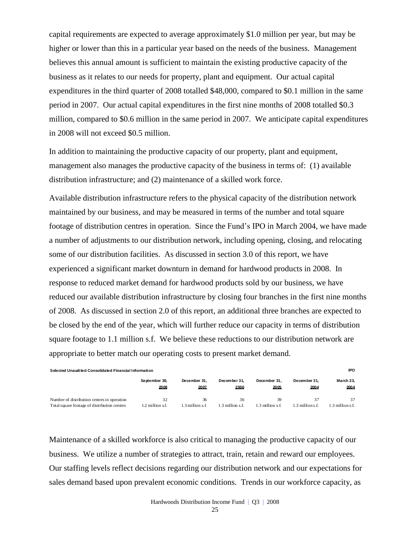capital requirements are expected to average approximately \$1.0 million per year, but may be higher or lower than this in a particular year based on the needs of the business. Management believes this annual amount is sufficient to maintain the existing productive capacity of the business as it relates to our needs for property, plant and equipment. Our actual capital expenditures in the third quarter of 2008 totalled \$48,000, compared to \$0.1 million in the same period in 2007. Our actual capital expenditures in the first nine months of 2008 totalled \$0.3 million, compared to \$0.6 million in the same period in 2007. We anticipate capital expenditures in 2008 will not exceed \$0.5 million.

In addition to maintaining the productive capacity of our property, plant and equipment, management also manages the productive capacity of the business in terms of: (1) available distribution infrastructure; and (2) maintenance of a skilled work force.

Available distribution infrastructure refers to the physical capacity of the distribution network maintained by our business, and may be measured in terms of the number and total square footage of distribution centres in operation. Since the Fund's IPO in March 2004, we have made a number of adjustments to our distribution network, including opening, closing, and relocating some of our distribution facilities. As discussed in section 3.0 of this report, we have experienced a significant market downturn in demand for hardwood products in 2008. In response to reduced market demand for hardwood products sold by our business, we have reduced our available distribution infrastructure by closing four branches in the first nine months of 2008. As discussed in section 2.0 of this report, an additional three branches are expected to be closed by the end of the year, which will further reduce our capacity in terms of distribution square footage to 1.1 million s.f. We believe these reductions to our distribution network are appropriate to better match our operating costs to present market demand.

| Selected Unaudited Consolidated Financial Information |                  |               |                            |                 |                 |                    |  |  |  |
|-------------------------------------------------------|------------------|---------------|----------------------------|-----------------|-----------------|--------------------|--|--|--|
|                                                       | September 30.    | December 31.  | December 31.               | December 31.    | December 31.    | March 23.          |  |  |  |
|                                                       | 2008             | 2007          | 2006                       | 2005            | 2004            | 2004               |  |  |  |
| Number of distribution centres in operation           | 32               | 36            | 36                         | 39              | 1.3 millions.f. | 37                 |  |  |  |
| Total square footage of distribution centres          | 1.2 million s.f. | 3 million s f | $\frac{3}{2}$ million s.f. | .3 million s.f. |                 | $1.3$ million s.f. |  |  |  |

Maintenance of a skilled workforce is also critical to managing the productive capacity of our business. We utilize a number of strategies to attract, train, retain and reward our employees. Our staffing levels reflect decisions regarding our distribution network and our expectations for sales demand based upon prevalent economic conditions. Trends in our workforce capacity, as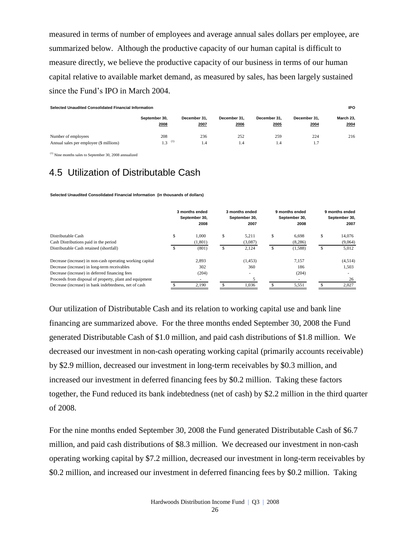measured in terms of number of employees and average annual sales dollars per employee, are summarized below. Although the productive capacity of our human capital is difficult to measure directly, we believe the productive capacity of our business in terms of our human capital relative to available market demand, as measured by sales, has been largely sustained since the Fund's IPO in March 2004.

| Selected Unaudited Consolidated Financial Information |                      |              |              |              |              |           |  |  |  |
|-------------------------------------------------------|----------------------|--------------|--------------|--------------|--------------|-----------|--|--|--|
|                                                       | September 30.        | December 31. | December 31. | December 31. | December 31. | March 23, |  |  |  |
|                                                       | 2008                 | 2007         | 2006         | 2005         | 2004         | 2004      |  |  |  |
| Number of employees                                   | 208                  | 236          | 252          | 259          | 224          | 216       |  |  |  |
| Annual sales per employee (\$ millions)               | $1.3$ <sup>(1)</sup> | 1.4          | 1.4          | 1.4          | 1.7          |           |  |  |  |

(1) Nine months sales to September 30, 2008 annualized

## 4.5 Utilization of Distributable Cash

**Selected Unaudited Consolidated Financial Information (in thousands of dollars)**

|                                                           | 3 months ended<br>September 30.<br>2008 | 3 months ended<br>September 30.<br>2007 |   | 9 months ended<br>September 30.<br>2008 |    | 9 months ended<br>September 30.<br>2007 |
|-----------------------------------------------------------|-----------------------------------------|-----------------------------------------|---|-----------------------------------------|----|-----------------------------------------|
| Distributable Cash                                        | \$<br>1.000                             | \$<br>5.211                             | S | 6.698                                   | S  | 14.076                                  |
| Cash Distributions paid in the period                     | (1,801)                                 | (3,087)                                 |   | (8,286)                                 |    | (9,064)                                 |
| Distributable Cash retained (shortfall)                   | \$<br>(801)                             | \$<br>2,124                             | S | (1,588)                                 | \$ | 5,012                                   |
| Decrease (increase) in non-cash operating working capital | 2.893                                   | (1,453)                                 |   | 7.157                                   |    | (4,514)                                 |
| Decrease (increase) in long-term receivables              | 302                                     | 360                                     |   | 186                                     |    | 1,503                                   |
| Decrease (increase) in deferred financing fees            | (204)                                   | $\sim$                                  |   | (204)                                   |    |                                         |
| Proceeds from disposal of property, plant and equipment   |                                         |                                         |   |                                         |    | 26                                      |
| Decrease (increase) in bank indebtedness, net of cash     | 2.190                                   | 1.036                                   |   | 5,551                                   |    | 2,027                                   |

Our utilization of Distributable Cash and its relation to working capital use and bank line financing are summarized above. For the three months ended September 30, 2008 the Fund generated Distributable Cash of \$1.0 million, and paid cash distributions of \$1.8 million. We decreased our investment in non-cash operating working capital (primarily accounts receivable) by \$2.9 million, decreased our investment in long-term receivables by \$0.3 million, and increased our investment in deferred financing fees by \$0.2 million. Taking these factors together, the Fund reduced its bank indebtedness (net of cash) by \$2.2 million in the third quarter of 2008.

For the nine months ended September 30, 2008 the Fund generated Distributable Cash of \$6.7 million, and paid cash distributions of \$8.3 million. We decreased our investment in non-cash operating working capital by \$7.2 million, decreased our investment in long-term receivables by \$0.2 million, and increased our investment in deferred financing fees by \$0.2 million. Taking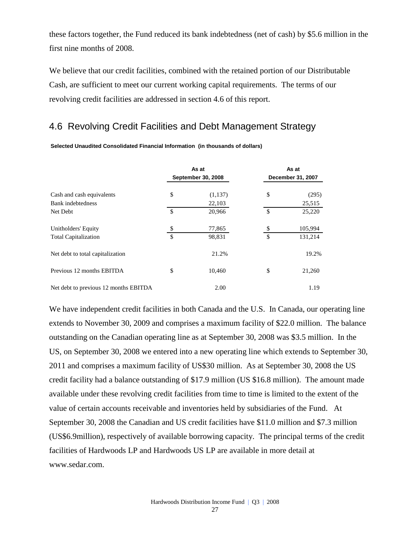these factors together, the Fund reduced its bank indebtedness (net of cash) by \$5.6 million in the first nine months of 2008.

We believe that our credit facilities, combined with the retained portion of our Distributable Cash, are sufficient to meet our current working capital requirements. The terms of our revolving credit facilities are addressed in section 4.6 of this report.

## 4.6 Revolving Credit Facilities and Debt Management Strategy

|                                       | As at<br><b>September 30, 2008</b> | As at<br>December 31, 2007 |                  |  |
|---------------------------------------|------------------------------------|----------------------------|------------------|--|
| Cash and cash equivalents             | \$<br>(1,137)                      | \$                         | (295)            |  |
| Bank indebtedness<br>Net Debt         | \$<br>22,103<br>20,966             | $\mathcal{S}$              | 25,515<br>25,220 |  |
| Unitholders' Equity                   | \$<br>77,865                       | \$                         | 105,994          |  |
| <b>Total Capitalization</b>           | \$<br>98.831                       | $\mathcal{S}$              | 131,214          |  |
| Net debt to total capitalization      | 21.2%                              |                            | 19.2%            |  |
| Previous 12 months EBITDA             | \$<br>10,460                       | \$                         | 21,260           |  |
| Net debt to previous 12 months EBITDA | 2.00                               |                            | 1.19             |  |

**Selected Unaudited Consolidated Financial Information (in thousands of dollars)**

We have independent credit facilities in both Canada and the U.S. In Canada, our operating line extends to November 30, 2009 and comprises a maximum facility of \$22.0 million. The balance outstanding on the Canadian operating line as at September 30, 2008 was \$3.5 million. In the US, on September 30, 2008 we entered into a new operating line which extends to September 30, 2011 and comprises a maximum facility of US\$30 million. As at September 30, 2008 the US credit facility had a balance outstanding of \$17.9 million (US \$16.8 million). The amount made available under these revolving credit facilities from time to time is limited to the extent of the value of certain accounts receivable and inventories held by subsidiaries of the Fund. At September 30, 2008 the Canadian and US credit facilities have \$11.0 million and \$7.3 million (US\$6.9million), respectively of available borrowing capacity. The principal terms of the credit facilities of Hardwoods LP and Hardwoods US LP are available in more detail at www.sedar.com.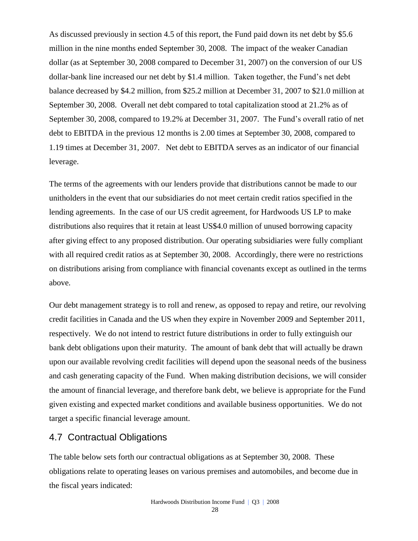As discussed previously in section 4.5 of this report, the Fund paid down its net debt by \$5.6 million in the nine months ended September 30, 2008. The impact of the weaker Canadian dollar (as at September 30, 2008 compared to December 31, 2007) on the conversion of our US dollar-bank line increased our net debt by \$1.4 million. Taken together, the Fund's net debt balance decreased by \$4.2 million, from \$25.2 million at December 31, 2007 to \$21.0 million at September 30, 2008. Overall net debt compared to total capitalization stood at 21.2% as of September 30, 2008, compared to 19.2% at December 31, 2007. The Fund's overall ratio of net debt to EBITDA in the previous 12 months is 2.00 times at September 30, 2008, compared to 1.19 times at December 31, 2007. Net debt to EBITDA serves as an indicator of our financial leverage.

The terms of the agreements with our lenders provide that distributions cannot be made to our unitholders in the event that our subsidiaries do not meet certain credit ratios specified in the lending agreements. In the case of our US credit agreement, for Hardwoods US LP to make distributions also requires that it retain at least US\$4.0 million of unused borrowing capacity after giving effect to any proposed distribution. Our operating subsidiaries were fully compliant with all required credit ratios as at September 30, 2008. Accordingly, there were no restrictions on distributions arising from compliance with financial covenants except as outlined in the terms above.

Our debt management strategy is to roll and renew, as opposed to repay and retire, our revolving credit facilities in Canada and the US when they expire in November 2009 and September 2011, respectively. We do not intend to restrict future distributions in order to fully extinguish our bank debt obligations upon their maturity. The amount of bank debt that will actually be drawn upon our available revolving credit facilities will depend upon the seasonal needs of the business and cash generating capacity of the Fund. When making distribution decisions, we will consider the amount of financial leverage, and therefore bank debt, we believe is appropriate for the Fund given existing and expected market conditions and available business opportunities. We do not target a specific financial leverage amount.

## 4.7 Contractual Obligations

The table below sets forth our contractual obligations as at September 30, 2008. These obligations relate to operating leases on various premises and automobiles, and become due in the fiscal years indicated: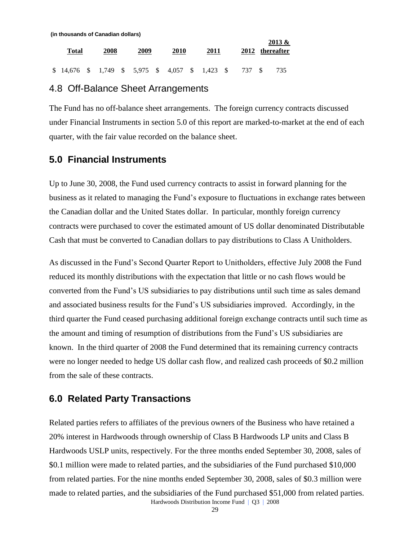| (in thousands of Canadian dollars)                |      |      |      |      |      |                      |
|---------------------------------------------------|------|------|------|------|------|----------------------|
| Total                                             | 2008 | 2009 | 2010 | 2011 | 2012 | 2013 &<br>thereafter |
| $$14,676$ $$1,749$ $$5,975$ $$4,057$ $$1,423$ $$$ |      |      |      |      | 737  | 735                  |

### 4.8 Off-Balance Sheet Arrangements

The Fund has no off-balance sheet arrangements. The foreign currency contracts discussed under Financial Instruments in section 5.0 of this report are marked-to-market at the end of each quarter, with the fair value recorded on the balance sheet.

## **5.0 Financial Instruments**

Up to June 30, 2008, the Fund used currency contracts to assist in forward planning for the business as it related to managing the Fund's exposure to fluctuations in exchange rates between the Canadian dollar and the United States dollar. In particular, monthly foreign currency contracts were purchased to cover the estimated amount of US dollar denominated Distributable Cash that must be converted to Canadian dollars to pay distributions to Class A Unitholders.

As discussed in the Fund's Second Quarter Report to Unitholders, effective July 2008 the Fund reduced its monthly distributions with the expectation that little or no cash flows would be converted from the Fund's US subsidiaries to pay distributions until such time as sales demand and associated business results for the Fund's US subsidiaries improved. Accordingly, in the third quarter the Fund ceased purchasing additional foreign exchange contracts until such time as the amount and timing of resumption of distributions from the Fund's US subsidiaries are known. In the third quarter of 2008 the Fund determined that its remaining currency contracts were no longer needed to hedge US dollar cash flow, and realized cash proceeds of \$0.2 million from the sale of these contracts.

## **6.0 Related Party Transactions**

Hardwoods Distribution Income Fund | Q3 | 2008 Related parties refers to affiliates of the previous owners of the Business who have retained a 20% interest in Hardwoods through ownership of Class B Hardwoods LP units and Class B Hardwoods USLP units, respectively. For the three months ended September 30, 2008, sales of \$0.1 million were made to related parties, and the subsidiaries of the Fund purchased \$10,000 from related parties. For the nine months ended September 30, 2008, sales of \$0.3 million were made to related parties, and the subsidiaries of the Fund purchased \$51,000 from related parties.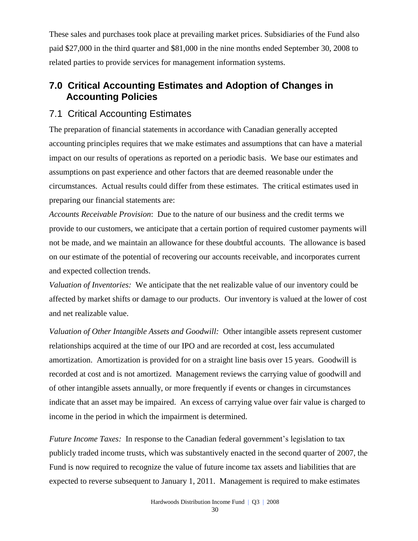These sales and purchases took place at prevailing market prices. Subsidiaries of the Fund also paid \$27,000 in the third quarter and \$81,000 in the nine months ended September 30, 2008 to related parties to provide services for management information systems.

## **7.0 Critical Accounting Estimates and Adoption of Changes in Accounting Policies**

## 7.1 Critical Accounting Estimates

The preparation of financial statements in accordance with Canadian generally accepted accounting principles requires that we make estimates and assumptions that can have a material impact on our results of operations as reported on a periodic basis. We base our estimates and assumptions on past experience and other factors that are deemed reasonable under the circumstances. Actual results could differ from these estimates. The critical estimates used in preparing our financial statements are:

*Accounts Receivable Provision*: Due to the nature of our business and the credit terms we provide to our customers, we anticipate that a certain portion of required customer payments will not be made, and we maintain an allowance for these doubtful accounts. The allowance is based on our estimate of the potential of recovering our accounts receivable, and incorporates current and expected collection trends.

*Valuation of Inventories:* We anticipate that the net realizable value of our inventory could be affected by market shifts or damage to our products. Our inventory is valued at the lower of cost and net realizable value.

*Valuation of Other Intangible Assets and Goodwill:* Other intangible assets represent customer relationships acquired at the time of our IPO and are recorded at cost, less accumulated amortization. Amortization is provided for on a straight line basis over 15 years. Goodwill is recorded at cost and is not amortized. Management reviews the carrying value of goodwill and of other intangible assets annually, or more frequently if events or changes in circumstances indicate that an asset may be impaired. An excess of carrying value over fair value is charged to income in the period in which the impairment is determined.

*Future Income Taxes:* In response to the Canadian federal government's legislation to tax publicly traded income trusts, which was substantively enacted in the second quarter of 2007, the Fund is now required to recognize the value of future income tax assets and liabilities that are expected to reverse subsequent to January 1, 2011. Management is required to make estimates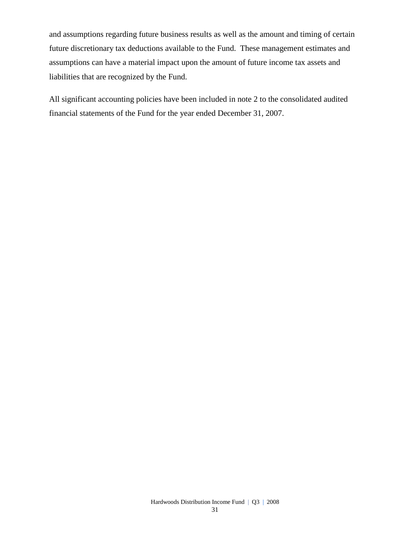and assumptions regarding future business results as well as the amount and timing of certain future discretionary tax deductions available to the Fund. These management estimates and assumptions can have a material impact upon the amount of future income tax assets and liabilities that are recognized by the Fund.

All significant accounting policies have been included in note 2 to the consolidated audited financial statements of the Fund for the year ended December 31, 2007.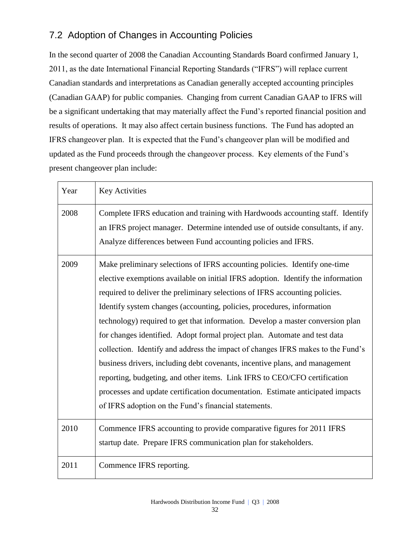## 7.2 Adoption of Changes in Accounting Policies

In the second quarter of 2008 the Canadian Accounting Standards Board confirmed January 1, 2011, as the date International Financial Reporting Standards ("IFRS") will replace current Canadian standards and interpretations as Canadian generally accepted accounting principles (Canadian GAAP) for public companies. Changing from current Canadian GAAP to IFRS will be a significant undertaking that may materially affect the Fund's reported financial position and results of operations. It may also affect certain business functions. The Fund has adopted an IFRS changeover plan. It is expected that the Fund's changeover plan will be modified and updated as the Fund proceeds through the changeover process. Key elements of the Fund's present changeover plan include:

| Year | <b>Key Activities</b>                                                                                                                                                                                                                                                                                                                                                                                                                                                                                                                                                                                                                                                                                                                                                                                                                                                           |
|------|---------------------------------------------------------------------------------------------------------------------------------------------------------------------------------------------------------------------------------------------------------------------------------------------------------------------------------------------------------------------------------------------------------------------------------------------------------------------------------------------------------------------------------------------------------------------------------------------------------------------------------------------------------------------------------------------------------------------------------------------------------------------------------------------------------------------------------------------------------------------------------|
| 2008 | Complete IFRS education and training with Hardwoods accounting staff. Identify<br>an IFRS project manager. Determine intended use of outside consultants, if any.<br>Analyze differences between Fund accounting policies and IFRS.                                                                                                                                                                                                                                                                                                                                                                                                                                                                                                                                                                                                                                             |
| 2009 | Make preliminary selections of IFRS accounting policies. Identify one-time<br>elective exemptions available on initial IFRS adoption. Identify the information<br>required to deliver the preliminary selections of IFRS accounting policies.<br>Identify system changes (accounting, policies, procedures, information<br>technology) required to get that information. Develop a master conversion plan<br>for changes identified. Adopt formal project plan. Automate and test data<br>collection. Identify and address the impact of changes IFRS makes to the Fund's<br>business drivers, including debt covenants, incentive plans, and management<br>reporting, budgeting, and other items. Link IFRS to CEO/CFO certification<br>processes and update certification documentation. Estimate anticipated impacts<br>of IFRS adoption on the Fund's financial statements. |
| 2010 | Commence IFRS accounting to provide comparative figures for 2011 IFRS<br>startup date. Prepare IFRS communication plan for stakeholders.                                                                                                                                                                                                                                                                                                                                                                                                                                                                                                                                                                                                                                                                                                                                        |
| 2011 | Commence IFRS reporting.                                                                                                                                                                                                                                                                                                                                                                                                                                                                                                                                                                                                                                                                                                                                                                                                                                                        |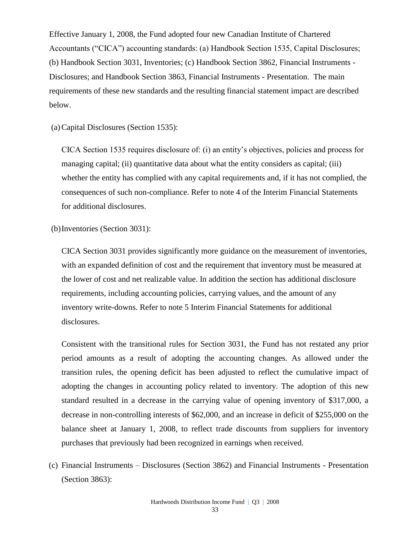Effective January 1, 2008, the Fund adopted four new Canadian Institute of Chartered Accountants ("CICA") accounting standards: (a) Handbook Section 1535, Capital Disclosures; (b) Handbook Section 3031, Inventories; (c) Handbook Section 3862, Financial Instruments - Disclosures; and Handbook Section 3863, Financial Instruments - Presentation. The main requirements of these new standards and the resulting financial statement impact are described below.

(a)Capital Disclosures (Section 1535):

CICA Section 1535 requires disclosure of: (i) an entity's objectives, policies and process for managing capital; (ii) quantitative data about what the entity considers as capital; (iii) whether the entity has complied with any capital requirements and, if it has not complied, the consequences of such non-compliance. Refer to note 4 of the Interim Financial Statements for additional disclosures.

(b)Inventories (Section 3031):

CICA Section 3031 provides significantly more guidance on the measurement of inventories, with an expanded definition of cost and the requirement that inventory must be measured at the lower of cost and net realizable value. In addition the section has additional disclosure requirements, including accounting policies, carrying values, and the amount of any inventory write-downs. Refer to note 5 Interim Financial Statements for additional disclosures.

Consistent with the transitional rules for Section 3031, the Fund has not restated any prior period amounts as a result of adopting the accounting changes. As allowed under the transition rules, the opening deficit has been adjusted to reflect the cumulative impact of adopting the changes in accounting policy related to inventory. The adoption of this new standard resulted in a decrease in the carrying value of opening inventory of \$317,000, a decrease in non-controlling interests of \$62,000, and an increase in deficit of \$255,000 on the balance sheet at January 1, 2008, to reflect trade discounts from suppliers for inventory purchases that previously had been recognized in earnings when received.

(c) Financial Instruments – Disclosures (Section 3862) and Financial Instruments - Presentation (Section 3863):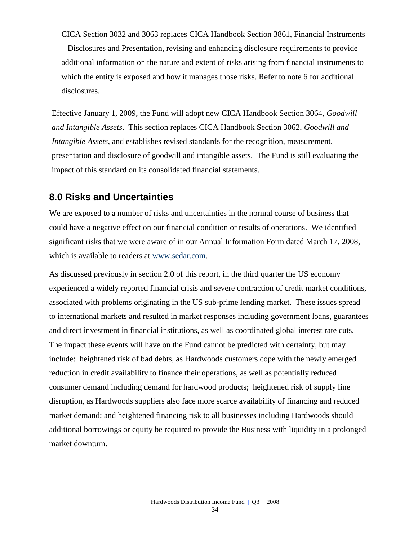CICA Section 3032 and 3063 replaces CICA Handbook Section 3861, Financial Instruments – Disclosures and Presentation, revising and enhancing disclosure requirements to provide additional information on the nature and extent of risks arising from financial instruments to which the entity is exposed and how it manages those risks. Refer to note 6 for additional disclosures.

Effective January 1, 2009, the Fund will adopt new CICA Handbook Section 3064, *Goodwill and Intangible Assets*. This section replaces CICA Handbook Section 3062, *Goodwill and Intangible Assets*, and establishes revised standards for the recognition, measurement, presentation and disclosure of goodwill and intangible assets. The Fund is still evaluating the impact of this standard on its consolidated financial statements.

## **8.0 Risks and Uncertainties**

We are exposed to a number of risks and uncertainties in the normal course of business that could have a negative effect on our financial condition or results of operations. We identified significant risks that we were aware of in our Annual Information Form dated March 17, 2008, which is available to readers at [www.sedar.com.](http://www.sedar.com/)

As discussed previously in section 2.0 of this report, in the third quarter the US economy experienced a widely reported financial crisis and severe contraction of credit market conditions, associated with problems originating in the US sub-prime lending market. These issues spread to international markets and resulted in market responses including government loans, guarantees and direct investment in financial institutions, as well as coordinated global interest rate cuts. The impact these events will have on the Fund cannot be predicted with certainty, but may include: heightened risk of bad debts, as Hardwoods customers cope with the newly emerged reduction in credit availability to finance their operations, as well as potentially reduced consumer demand including demand for hardwood products; heightened risk of supply line disruption, as Hardwoods suppliers also face more scarce availability of financing and reduced market demand; and heightened financing risk to all businesses including Hardwoods should additional borrowings or equity be required to provide the Business with liquidity in a prolonged market downturn.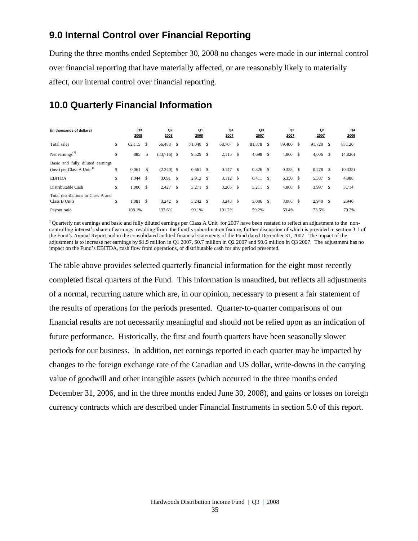## **9.0 Internal Control over Financial Reporting**

During the three months ended September 30, 2008 no changes were made in our internal control over financial reporting that have materially affected, or are reasonably likely to materially affect, our internal control over financial reporting.

## **10.0 Quarterly Financial Information**

| (in thousands of dollars)                                        |    | Q3<br>2008 |               | Q <sub>2</sub><br>2008 |   | Q1<br>2008 |      | Q4<br>2007 |              | Q3<br>2007 |               | Q <sub>2</sub><br>2007 |               | Q1<br>2007 |      | Q4<br>2006 |
|------------------------------------------------------------------|----|------------|---------------|------------------------|---|------------|------|------------|--------------|------------|---------------|------------------------|---------------|------------|------|------------|
| <b>Total</b> sales                                               | \$ | 62,115     | S             | 66,488                 | S | 71,048     | S    | 68,767     | - \$         | 81,878     | -S            | 89,400                 | \$            | 91,720     | - \$ | 83,120     |
| Net earnings $^{(1)}$                                            | \$ | 885        | <sup>\$</sup> | $(33,716)$ \$          |   | 9,529      | S    | 2,115      | - \$         | 4,698      | <sup>\$</sup> | 4,800                  | <sup>\$</sup> | 4,006      | S    | (4,826)    |
| Basic and fully diluted earnings<br>(loss) per Class A $Unit(1)$ | \$ | 0.061      | \$            | $(2.340)$ \$           |   | 0.661      | - \$ | 0.147      | - \$         | $0.326$ \$ |               | 0.333                  | -S            | 0.278      | S    | (0.335)    |
| <b>EBITDA</b>                                                    | \$ | 1,344      | -S            | 3,091                  | S | 2,913      | S    | 3,112 \$   |              | 6,411      | -S            | 6,350                  | <sup>\$</sup> | 5,387      | - \$ | 4,088      |
| Distributable Cash                                               | S  | 1,000      | -S            | 2,427                  | S | 3,271      | - S  | 3,205      | $\mathbf{s}$ | 5,211      | \$            | 4,868                  | <sup>\$</sup> | 3,997      | \$   | 3,714      |
| Total distributions to Class A and<br>Class B Units              | S  | 1,081      | -S            | $3,242$ \$             |   | $3,242$ \$ |      | 3,243      | - \$         | 3,086      | -S            | 3,086                  | -S            | $2,940$ \$ |      | 2,940      |
| Payout ratio                                                     |    | 108.1%     |               | 133.6%                 |   | 99.1%      |      | 101.2%     |              | 59.2%      |               | 63.4%                  |               | 73.6%      |      | 79.2%      |

<sup>1</sup>Quarterly net earnings and basic and fully diluted earnings per Class A Unit for 2007 have been restated to reflect an adjustment to the noncontrolling interest's share of earnings resulting from the Fund's subordination feature, further discussion of which is provided in section 3.1 of the Fund's Annual Report and in the consolidated audited financial statements of the Fund dated December 31, 2007. The impact of the adjustment is to increase net earnings by \$1.5 million in Q1 2007, \$0.7 million in Q2 2007 and \$0.6 million in Q3 2007. The adjustment has no impact on the Fund's EBITDA, cash flow from operations, or distributable cash for any period presented.

The table above provides selected quarterly financial information for the eight most recently completed fiscal quarters of the Fund. This information is unaudited, but reflects all adjustments of a normal, recurring nature which are, in our opinion, necessary to present a fair statement of the results of operations for the periods presented. Quarter-to-quarter comparisons of our financial results are not necessarily meaningful and should not be relied upon as an indication of future performance. Historically, the first and fourth quarters have been seasonally slower periods for our business. In addition, net earnings reported in each quarter may be impacted by changes to the foreign exchange rate of the Canadian and US dollar, write-downs in the carrying value of goodwill and other intangible assets (which occurred in the three months ended December 31, 2006, and in the three months ended June 30, 2008), and gains or losses on foreign currency contracts which are described under Financial Instruments in section 5.0 of this report.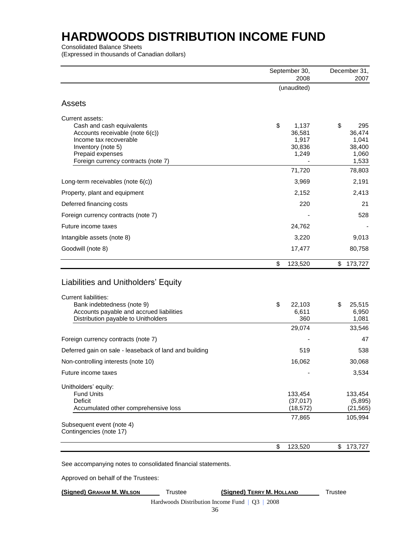Consolidated Balance Sheets

(Expressed in thousands of Canadian dollars)

|                                                                                                                                                                                               | September 30,             |                                             |         | December 31,                                       |
|-----------------------------------------------------------------------------------------------------------------------------------------------------------------------------------------------|---------------------------|---------------------------------------------|---------|----------------------------------------------------|
|                                                                                                                                                                                               | (unaudited)               | 2008                                        |         | 2007                                               |
|                                                                                                                                                                                               |                           |                                             |         |                                                    |
| <b>Assets</b>                                                                                                                                                                                 |                           |                                             |         |                                                    |
| Current assets:<br>Cash and cash equivalents<br>Accounts receivable (note $6(c)$ )<br>Income tax recoverable<br>Inventory (note 5)<br>Prepaid expenses<br>Foreign currency contracts (note 7) | \$                        | 1,137<br>36,581<br>1,917<br>30,836<br>1,249 | \$      | 295<br>36,474<br>1,041<br>38,400<br>1,060<br>1,533 |
|                                                                                                                                                                                               |                           | 71,720                                      |         | 78,803                                             |
| Long-term receivables (note $6(c)$ )                                                                                                                                                          |                           | 3,969                                       |         | 2,191                                              |
| Property, plant and equipment                                                                                                                                                                 |                           | 2,152                                       |         | 2,413                                              |
| Deferred financing costs                                                                                                                                                                      |                           | 220                                         |         | 21                                                 |
| Foreign currency contracts (note 7)                                                                                                                                                           |                           |                                             |         | 528                                                |
| Future income taxes                                                                                                                                                                           |                           | 24,762                                      |         |                                                    |
| Intangible assets (note 8)                                                                                                                                                                    |                           | 3,220                                       |         | 9,013                                              |
| Goodwill (note 8)                                                                                                                                                                             |                           | 17,477                                      |         | 80,758                                             |
|                                                                                                                                                                                               | \$                        | 123,520                                     | \$      | 173,727                                            |
| Liabilities and Unitholders' Equity<br><b>Current liabilities:</b><br>Bank indebtedness (note 9)<br>Accounts payable and accrued liabilities<br>Distribution payable to Unitholders           | \$                        | 22,103<br>6,611<br>360                      | \$      | 25,515<br>6,950<br>1,081                           |
|                                                                                                                                                                                               |                           | 29,074                                      |         | 33,546                                             |
| Foreign currency contracts (note 7)                                                                                                                                                           |                           |                                             |         | 47                                                 |
| Deferred gain on sale - leaseback of land and building                                                                                                                                        |                           | 519                                         |         | 538                                                |
| Non-controlling interests (note 10)                                                                                                                                                           |                           | 16,062                                      |         | 30,068                                             |
| Future income taxes                                                                                                                                                                           |                           |                                             |         | 3,534                                              |
| Unitholders' equity:<br><b>Fund Units</b><br>Deficit<br>Accumulated other comprehensive loss                                                                                                  |                           | 133,454<br>(37, 017)<br>(18, 572)           |         | 133,454<br>(5,895)<br>(21, 565)                    |
| Subsequent event (note 4)<br>Contingencies (note 17)                                                                                                                                          |                           | 77,865                                      |         | 105,994                                            |
|                                                                                                                                                                                               | \$                        | 123,520                                     | \$      | 173,727                                            |
| See accompanying notes to consolidated financial statements.                                                                                                                                  |                           |                                             |         |                                                    |
| Approved on behalf of the Trustees:                                                                                                                                                           |                           |                                             |         |                                                    |
| (Signed) GRAHAM M. WILSON<br><b>Trustee</b>                                                                                                                                                   | (Signed) TERRY M. HOLLAND |                                             | Trustee |                                                    |

Hardwoods Distribution Income Fund | Q3 | 2008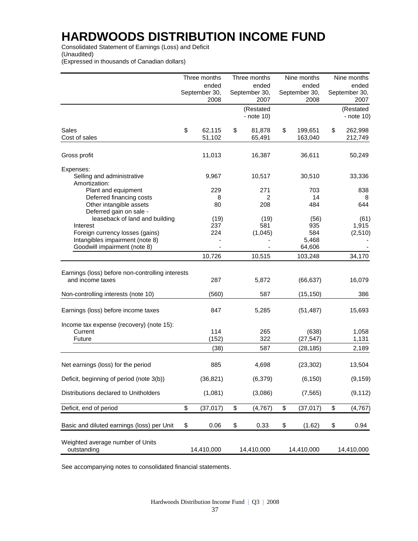Consolidated Statement of Earnings (Loss) and Deficit (Unaudited)

(Expressed in thousands of Canadian dollars)

|                                                                                | Three months           | Three months            | Nine months              | Nine months              |
|--------------------------------------------------------------------------------|------------------------|-------------------------|--------------------------|--------------------------|
|                                                                                | ended                  | ended                   | ended                    | ended                    |
|                                                                                | September 30,<br>2008  | September 30,<br>2007   | September 30,<br>2008    | September 30,<br>2007    |
|                                                                                |                        | (Restated<br>- note 10) |                          | (Restated<br>- note 10)  |
| Sales<br>Cost of sales                                                         | \$<br>62,115<br>51,102 | \$<br>81,878<br>65,491  | \$<br>199,651<br>163,040 | \$<br>262,998<br>212,749 |
| Gross profit                                                                   | 11,013                 | 16,387                  | 36,611                   | 50,249                   |
| Expenses:                                                                      |                        |                         |                          |                          |
| Selling and administrative<br>Amortization:                                    | 9,967                  | 10,517                  | 30,510                   | 33,336                   |
| Plant and equipment                                                            | 229                    | 271                     | 703                      | 838                      |
| Deferred financing costs<br>Other intangible assets<br>Deferred gain on sale - | 8<br>80                | 2<br>208                | 14<br>484                | 8<br>644                 |
| leaseback of land and building                                                 | (19)                   | (19)                    | (56)                     | (61)                     |
| Interest                                                                       | 237                    | 581                     | 935                      | 1,915                    |
| Foreign currency losses (gains)<br>Intangibles impairment (note 8)             | 224                    | (1,045)                 | 584<br>5,468             | (2,510)                  |
| Goodwill impairment (note 8)                                                   |                        |                         | 64,606                   |                          |
|                                                                                | 10,726                 | 10,515                  | 103,248                  | 34,170                   |
| Earnings (loss) before non-controlling interests<br>and income taxes           | 287                    | 5,872                   | (66, 637)                | 16,079                   |
| Non-controlling interests (note 10)                                            | (560)                  | 587                     | (15, 150)                | 386                      |
| Earnings (loss) before income taxes                                            | 847                    | 5,285                   | (51, 487)                | 15,693                   |
| Income tax expense (recovery) (note 15):<br>Current<br>Future                  | 114<br>(152)           | 265<br>322              | (638)<br>(27, 547)       | 1,058<br>1,131           |
|                                                                                | (38)                   | 587                     | (28, 185)                | 2,189                    |
| Net earnings (loss) for the period                                             | 885                    | 4,698                   | (23, 302)                | 13,504                   |
| Deficit, beginning of period (note 3(b))                                       | (36, 821)              | (6, 379)                | (6, 150)                 | (9, 159)                 |
| Distributions declared to Unitholders                                          | (1,081)                | (3,086)                 | (7, 565)                 | (9, 112)                 |
| Deficit, end of period                                                         | \$<br>(37, 017)        | \$<br>(4,767)           | \$<br>(37, 017)          | \$<br>(4, 767)           |
| Basic and diluted earnings (loss) per Unit                                     | \$<br>0.06             | \$<br>0.33              | \$<br>(1.62)             | \$<br>0.94               |
| Weighted average number of Units<br>outstanding                                | 14,410,000             | 14,410,000              | 14,410,000               | 14,410,000               |

See accompanying notes to consolidated financial statements.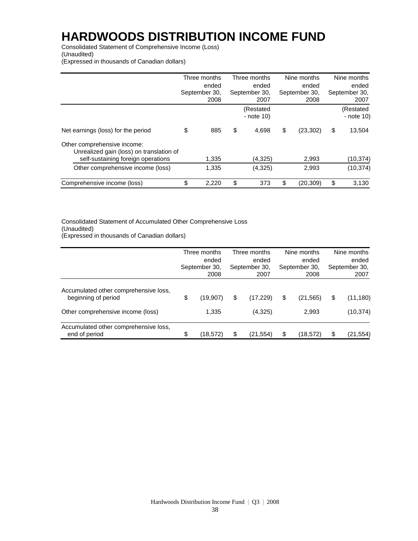Consolidated Statement of Comprehensive Income (Loss) (Unaudited)

(Expressed in thousands of Canadian dollars)

|                                                                         | Three months           | Three months              | Nine months            | Nine months             |
|-------------------------------------------------------------------------|------------------------|---------------------------|------------------------|-------------------------|
|                                                                         | ended<br>September 30, | ended<br>September 30,    | ended<br>September 30, | ended                   |
|                                                                         | 2008                   | 2007                      | 2008                   | September 30,<br>2007   |
|                                                                         |                        | (Restated<br>$-$ note 10) |                        | (Restated<br>- note 10) |
| Net earnings (loss) for the period                                      | \$<br>885              | \$<br>4,698               | \$<br>(23, 302)        | \$<br>13,504            |
| Other comprehensive income:<br>Unrealized gain (loss) on translation of |                        |                           |                        |                         |
| self-sustaining foreign operations                                      | 1,335                  | (4,325)                   | 2,993                  | (10, 374)               |
| Other comprehensive income (loss)                                       | 1,335                  | (4,325)                   | 2,993                  | (10, 374)               |
| Comprehensive income (loss)                                             | \$<br>2,220            | \$<br>373                 | \$<br>(20,309)         | \$<br>3,130             |

#### Consolidated Statement of Accumulated Other Comprehensive Loss (Unaudited) (Expressed in thousands of Canadian dollars)

|                                                              | Three months<br>ended<br>September 30,<br>2008 | Three months<br>ended<br>September 30,<br>2007 | Nine months<br>ended<br>September 30,<br>2008 | Nine months<br>ended<br>September 30,<br>2007 |
|--------------------------------------------------------------|------------------------------------------------|------------------------------------------------|-----------------------------------------------|-----------------------------------------------|
| Accumulated other comprehensive loss,<br>beginning of period | \$<br>(19,907)                                 | \$<br>(17, 229)                                | \$<br>(21, 565)                               | \$<br>(11, 180)                               |
| Other comprehensive income (loss)                            | 1,335                                          | (4,325)                                        | 2,993                                         | (10, 374)                                     |
| Accumulated other comprehensive loss,<br>end of period       | \$<br>(18, 572)                                | \$<br>(21,554)                                 | \$<br>(18,572)                                | \$<br>(21, 554)                               |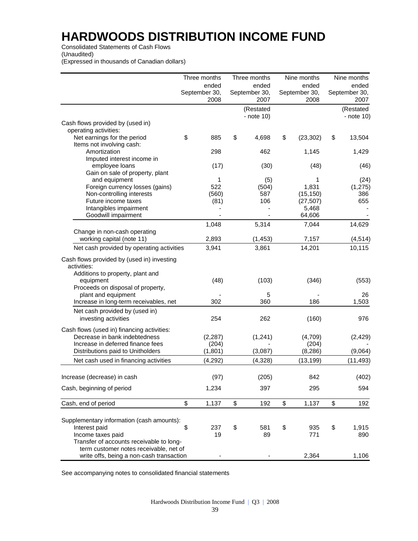Consolidated Statements of Cash Flows

(Unaudited)

(Expressed in thousands of Canadian dollars)

|                                                               | Three months          | Three months               | Nine months           | Nine months             |
|---------------------------------------------------------------|-----------------------|----------------------------|-----------------------|-------------------------|
|                                                               | ended                 | ended                      | ended                 | ended                   |
|                                                               | September 30,<br>2008 | September 30,<br>2007      | September 30,<br>2008 | September 30,<br>2007   |
|                                                               |                       | (Restated<br>- note $10$ ) |                       | (Restated<br>- note 10) |
| Cash flows provided by (used in)                              |                       |                            |                       |                         |
| operating activities:                                         |                       |                            |                       |                         |
| Net earnings for the period                                   | \$<br>885             | \$<br>4,698                | \$<br>(23, 302)       | \$<br>13,504            |
| Items not involving cash:                                     |                       |                            |                       |                         |
| Amortization                                                  | 298                   | 462                        | 1,145                 | 1,429                   |
| Imputed interest income in                                    |                       |                            |                       |                         |
| employee loans                                                | (17)                  | (30)                       | (48)                  | (46)                    |
| Gain on sale of property, plant                               |                       |                            |                       |                         |
| and equipment                                                 | 1                     | (5)                        | 1                     | (24)                    |
| Foreign currency losses (gains)                               | 522                   | (504)                      | 1,831                 | (1,275)                 |
| Non-controlling interests                                     | (560)                 | 587                        | (15, 150)             | 386                     |
| Future income taxes                                           | (81)                  | 106                        | (27, 507)             | 655                     |
| Intangibles impairment                                        |                       |                            | 5,468                 |                         |
| Goodwill impairment                                           |                       |                            | 64,606                |                         |
|                                                               | 1,048                 | 5,314                      | 7,044                 | 14,629                  |
| Change in non-cash operating<br>working capital (note 11)     | 2,893                 | (1, 453)                   | 7,157                 | (4, 514)                |
|                                                               |                       |                            |                       |                         |
| Net cash provided by operating activities                     | 3,941                 | 3,861                      | 14,201                | 10,115                  |
| Cash flows provided by (used in) investing<br>activities:     |                       |                            |                       |                         |
| Additions to property, plant and<br>equipment                 | (48)                  | (103)                      | (346)                 | (553)                   |
| Proceeds on disposal of property,                             |                       |                            |                       |                         |
| plant and equipment<br>Increase in long-term receivables, net | 302                   | 5<br>360                   | 186                   | 26<br>1,503             |
|                                                               |                       |                            |                       |                         |
| Net cash provided by (used in)<br>investing activities        | 254                   | 262                        | (160)                 | 976                     |
| Cash flows (used in) financing activities:                    |                       |                            |                       |                         |
| Decrease in bank indebtedness                                 | (2, 287)              | (1,241)                    | (4,709)               | (2, 429)                |
| Increase in deferred finance fees                             | (204)                 |                            | (204)                 |                         |
| Distributions paid to Unitholders                             | (1, 801)              | (3,087)                    | (8, 286)              | (9,064)                 |
| Net cash used in financing activities                         | (4,292)               | (4,328)                    | (13, 199)             | (11, 493)               |
|                                                               |                       |                            |                       |                         |
| Increase (decrease) in cash                                   | (97)                  | (205)                      | 842                   | (402)                   |
| Cash, beginning of period                                     | 1,234                 | 397                        | 295                   | 594                     |
| Cash, end of period                                           | \$<br>1,137           | \$<br>192                  | \$<br>1,137           | \$<br>192               |
|                                                               |                       |                            |                       |                         |
| Supplementary information (cash amounts):                     |                       |                            |                       |                         |
| Interest paid                                                 | \$<br>237             | \$<br>581                  | \$<br>935             | \$<br>1,915             |
| Income taxes paid                                             | 19                    | 89                         | 771                   | 890                     |
| Transfer of accounts receivable to long-                      |                       |                            |                       |                         |
| term customer notes receivable, net of                        |                       |                            |                       |                         |
| write offs, being a non-cash transaction                      |                       |                            | 2,364                 | 1,106                   |

See accompanying notes to consolidated financial statements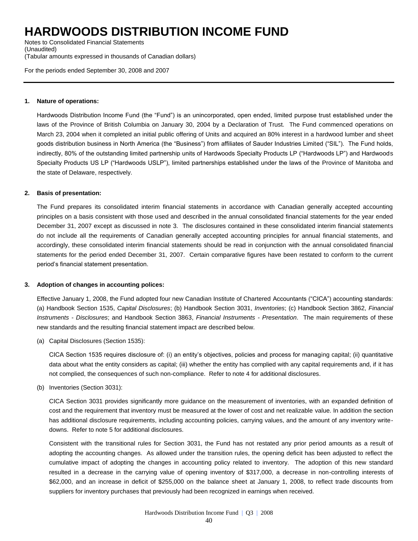Notes to Consolidated Financial Statements (Unaudited) (Tabular amounts expressed in thousands of Canadian dollars)

For the periods ended September 30, 2008 and 2007

#### **1. Nature of operations:**

Hardwoods Distribution Income Fund (the "Fund") is an unincorporated, open ended, limited purpose trust established under the laws of the Province of British Columbia on January 30, 2004 by a Declaration of Trust. The Fund commenced operations on March 23, 2004 when it completed an initial public offering of Units and acquired an 80% interest in a hardwood lumber and sheet goods distribution business in North America (the "Business") from affiliates of Sauder Industries Limited ("SIL"). The Fund holds, indirectly, 80% of the outstanding limited partnership units of Hardwoods Specialty Products LP ("Hardwoods LP") and Hardwoods Specialty Products US LP ("Hardwoods USLP"), limited partnerships established under the laws of the Province of Manitoba and the state of Delaware, respectively.

#### **2. Basis of presentation:**

The Fund prepares its consolidated interim financial statements in accordance with Canadian generally accepted accounting principles on a basis consistent with those used and described in the annual consolidated financial statements for the year ended December 31, 2007 except as discussed in note 3. The disclosures contained in these consolidated interim financial statements do not include all the requirements of Canadian generally accepted accounting principles for annual financial statements, and accordingly, these consolidated interim financial statements should be read in conjunction with the annual consolidated financial statements for the period ended December 31, 2007. Certain comparative figures have been restated to conform to the current period's financial statement presentation.

#### **3. Adoption of changes in accounting polices:**

Effective January 1, 2008, the Fund adopted four new Canadian Institute of Chartered Accountants ("CICA") accounting standards: (a) Handbook Section 1535, *Capital Disclosures*; (b) Handbook Section 3031, *Inventories*; (c) Handbook Section 3862, *Financial Instruments - Disclosures*; and Handbook Section 3863, *Financial Instruments - Presentation*. The main requirements of these new standards and the resulting financial statement impact are described below.

(a) Capital Disclosures (Section 1535):

CICA Section 1535 requires disclosure of: (i) an entity's objectives, policies and process for managing capital; (ii) quantitative data about what the entity considers as capital; (iii) whether the entity has complied with any capital requirements and, if it has not complied, the consequences of such non-compliance. Refer to note 4 for additional disclosures.

(b) Inventories (Section 3031):

CICA Section 3031 provides significantly more guidance on the measurement of inventories, with an expanded definition of cost and the requirement that inventory must be measured at the lower of cost and net realizable value. In addition the section has additional disclosure requirements, including accounting policies, carrying values, and the amount of any inventory writedowns. Refer to note 5 for additional disclosures.

Consistent with the transitional rules for Section 3031, the Fund has not restated any prior period amounts as a result of adopting the accounting changes. As allowed under the transition rules, the opening deficit has been adjusted to reflect the cumulative impact of adopting the changes in accounting policy related to inventory. The adoption of this new standard resulted in a decrease in the carrying value of opening inventory of \$317,000, a decrease in non-controlling interests of \$62,000, and an increase in deficit of \$255,000 on the balance sheet at January 1, 2008, to reflect trade discounts from suppliers for inventory purchases that previously had been recognized in earnings when received.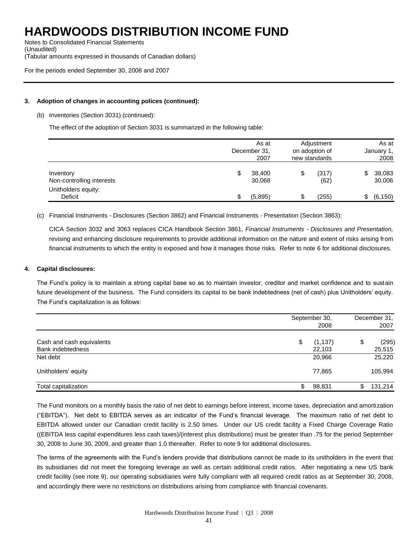Notes to Consolidated Financial Statements (Unaudited) (Tabular amounts expressed in thousands of Canadian dollars)

For the periods ended September 30, 2008 and 2007

#### **3. Adoption of changes in accounting polices (continued):**

(b) Inventories (Section 3031) (continued):

The effect of the adoption of Section 3031 is summarized in the following table:

|                                        |   | As at<br>December 31,<br>2007 | Adjustment<br>on adoption of<br>new standards |               | As at<br>January 1,<br>2008 |
|----------------------------------------|---|-------------------------------|-----------------------------------------------|---------------|-----------------------------|
| Inventory<br>Non-controlling interests |   | 38,400<br>30,068              |                                               | (317)<br>(62) | 38,083<br>30,006            |
| Unitholders equity:<br>Deficit         | S | (5,895)                       |                                               | (255)         | (6, 150)                    |

(c) Financial Instruments - Disclosures (Section 3862) and Financial Instruments - Presentation (Section 3863):

CICA Section 3032 and 3063 replaces CICA Handbook Section 3861, *Financial Instruments - Disclosures and Presentation,*  revising and enhancing disclosure requirements to provide additional information on the nature and extent of risks arising from financial instruments to which the entity is exposed and how it manages those risks. Refer to note 6 for additional disclosures.

#### **4. Capital disclosures:**

The Fund's policy is to maintain a strong capital base so as to maintain investor, creditor and market confidence and to sustain future development of the business. The Fund considers its capital to be bank indebtedness (net of cash) plus Unitholders' equity. The Fund's capitalization is as follows:

|                                      |   | September 30,<br>2008 | December 31,<br>2007 |
|--------------------------------------|---|-----------------------|----------------------|
| Cash and cash equivalents            | S | (1, 137)              | \$<br>(295)          |
| <b>Bank indebtedness</b><br>Net debt |   | 22,103<br>20,966      | 25,515<br>25,220     |
| Unitholders' equity                  |   | 77,865                | 105,994              |
| Total capitalization                 |   | 98,831                | \$<br>131,214        |

The Fund monitors on a monthly basis the ratio of net debt to earnings before interest, income taxes, depreciation and amortization ("EBITDA"). Net debt to EBITDA serves as an indicator of the Fund's financial leverage. The maximum ratio of net debt to EBITDA allowed under our Canadian credit facility is 2.50 times. Under our US credit facility a Fixed Charge Coverage Ratio ((EBITDA less capital expenditures less cash taxes)/(interest plus distributions) must be greater than .75 for the period September 30, 2008 to June 30, 2009, and greater than 1.0 thereafter. Refer to note 9 for additional disclosures.

The terms of the agreements with the Fund's lenders provide that distributions cannot be made to its unitholders in the event that its subsidiaries did not meet the foregoing leverage as well as certain additional credit ratios. After negotiating a new US bank credit facility (see note 9), our operating subsidiaries were fully compliant with all required credit ratios as at September 30, 2008, and accordingly there were no restrictions on distributions arising from compliance with financial covenants.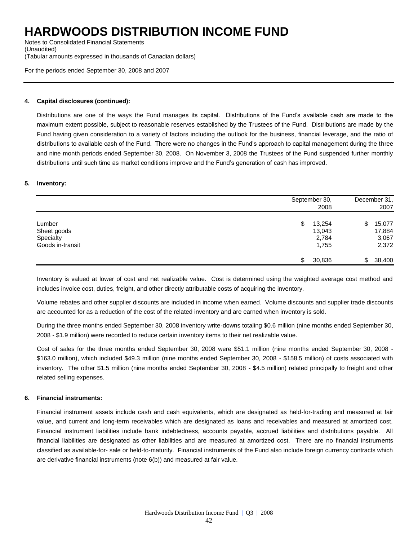Notes to Consolidated Financial Statements (Unaudited) (Tabular amounts expressed in thousands of Canadian dollars)

For the periods ended September 30, 2008 and 2007

#### **4. Capital disclosures (continued):**

Distributions are one of the ways the Fund manages its capital. Distributions of the Fund's available cash are made to the maximum extent possible, subject to reasonable reserves established by the Trustees of the Fund. Distributions are made by the Fund having given consideration to a variety of factors including the outlook for the business, financial leverage, and the ratio of distributions to available cash of the Fund. There were no changes in the Fund's approach to capital management during the three and nine month periods ended September 30, 2008. On November 3, 2008 the Trustees of the Fund suspended further monthly distributions until such time as market conditions improve and the Fund's generation of cash has improved.

#### **5. Inventory:**

|                                                        | September 30,<br>2008                    | December 31,<br>2007                      |
|--------------------------------------------------------|------------------------------------------|-------------------------------------------|
| Lumber<br>Sheet goods<br>Specialty<br>Goods in-transit | 13,254<br>\$<br>13,043<br>2,784<br>1,755 | 15,077<br>\$.<br>17,884<br>3,067<br>2,372 |
|                                                        | 30,836                                   | 38,400<br>\$                              |

Inventory is valued at lower of cost and net realizable value. Cost is determined using the weighted average cost method and includes invoice cost, duties, freight, and other directly attributable costs of acquiring the inventory.

Volume rebates and other supplier discounts are included in income when earned. Volume discounts and supplier trade discounts are accounted for as a reduction of the cost of the related inventory and are earned when inventory is sold.

During the three months ended September 30, 2008 inventory write-downs totaling \$0.6 million (nine months ended September 30, 2008 - \$1.9 million) were recorded to reduce certain inventory items to their net realizable value.

Cost of sales for the three months ended September 30, 2008 were \$51.1 million (nine months ended September 30, 2008 - \$163.0 million), which included \$49.3 million (nine months ended September 30, 2008 - \$158.5 million) of costs associated with inventory. The other \$1.5 million (nine months ended September 30, 2008 - \$4.5 million) related principally to freight and other related selling expenses.

#### **6. Financial instruments:**

Financial instrument assets include cash and cash equivalents, which are designated as held-for-trading and measured at fair value, and current and long-term receivables which are designated as loans and receivables and measured at amortized cost. Financial instrument liabilities include bank indebtedness, accounts payable, accrued liabilities and distributions payable. All financial liabilities are designated as other liabilities and are measured at amortized cost. There are no financial instruments classified as available-for- sale or held-to-maturity. Financial instruments of the Fund also include foreign currency contracts which are derivative financial instruments (note 6(b)) and measured at fair value.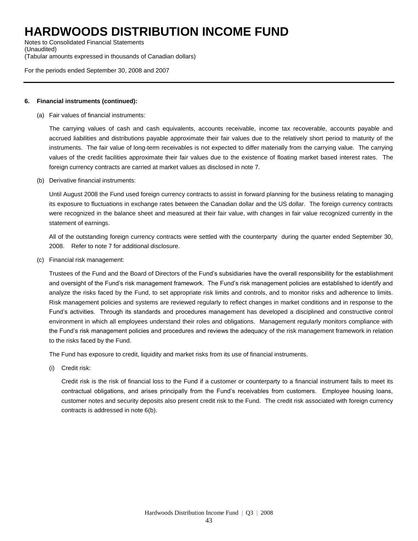Notes to Consolidated Financial Statements (Unaudited) (Tabular amounts expressed in thousands of Canadian dollars)

For the periods ended September 30, 2008 and 2007

#### **6. Financial instruments (continued):**

(a) Fair values of financial instruments:

The carrying values of cash and cash equivalents, accounts receivable, income tax recoverable, accounts payable and accrued liabilities and distributions payable approximate their fair values due to the relatively short period to maturity of the instruments. The fair value of long-term receivables is not expected to differ materially from the carrying value. The carrying values of the credit facilities approximate their fair values due to the existence of floating market based interest rates. The foreign currency contracts are carried at market values as disclosed in note 7.

(b) Derivative financial instruments:

Until August 2008 the Fund used foreign currency contracts to assist in forward planning for the business relating to managing its exposure to fluctuations in exchange rates between the Canadian dollar and the US dollar. The foreign currency contracts were recognized in the balance sheet and measured at their fair value, with changes in fair value recognized currently in the statement of earnings.

All of the outstanding foreign currency contracts were settled with the counterparty during the quarter ended September 30, 2008. Refer to note 7 for additional disclosure.

(c) Financial risk management:

Trustees of the Fund and the Board of Directors of the Fund's subsidiaries have the overall responsibility for the establishment and oversight of the Fund's risk management framework. The Fund's risk management policies are established to identify and analyze the risks faced by the Fund, to set appropriate risk limits and controls, and to monitor risks and adherence to limits. Risk management policies and systems are reviewed regularly to reflect changes in market conditions and in response to the Fund's activities. Through its standards and procedures management has developed a disciplined and constructive control environment in which all employees understand their roles and obligations. Management regularly monitors compliance with the Fund's risk management policies and procedures and reviews the adequacy of the risk management framework in relation to the risks faced by the Fund.

The Fund has exposure to credit, liquidity and market risks from its use of financial instruments.

(i) Credit risk:

Credit risk is the risk of financial loss to the Fund if a customer or counterparty to a financial instrument fails to meet its contractual obligations, and arises principally from the Fund's receivables from customers. Employee housing loans, customer notes and security deposits also present credit risk to the Fund. The credit risk associated with foreign currency contracts is addressed in note 6(b).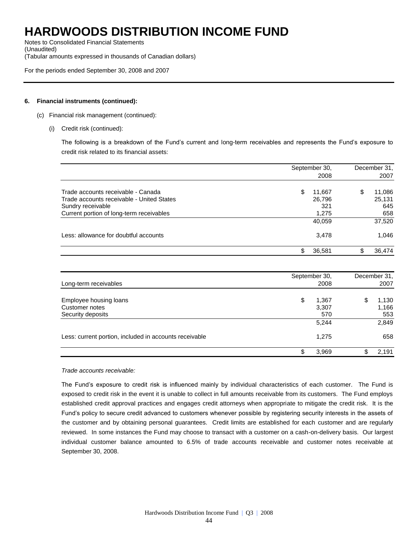Notes to Consolidated Financial Statements (Unaudited) (Tabular amounts expressed in thousands of Canadian dollars)

For the periods ended September 30, 2008 and 2007

#### **6. Financial instruments (continued):**

- (c) Financial risk management (continued):
	- (i) Credit risk (continued):

The following is a breakdown of the Fund's current and long-term receivables and represents the Fund's exposure to credit risk related to its financial assets:

|                                           | September 30, |   | December 31, |  |
|-------------------------------------------|---------------|---|--------------|--|
|                                           | 2008          |   | 2007         |  |
| Trade accounts receivable - Canada        | \$<br>11.667  | S | 11,086       |  |
| Trade accounts receivable - United States | 26,796        |   | 25,131       |  |
| Sundry receivable                         | 321           |   | 645          |  |
| Current portion of long-term receivables  | 1,275         |   | 658          |  |
|                                           | 40,059        |   | 37,520       |  |
| Less: allowance for doubtful accounts     | 3,478         |   | 1,046        |  |
|                                           | \$<br>36,581  |   | 36,474       |  |

| Long-term receivables                                         | September 30,<br>2008       |    | December 31,<br>2007  |  |
|---------------------------------------------------------------|-----------------------------|----|-----------------------|--|
| Employee housing loans<br>Customer notes<br>Security deposits | \$<br>1,367<br>3,307<br>570 | \$ | 1,130<br>1,166<br>553 |  |
|                                                               | 5,244                       |    | 2,849                 |  |
| Less: current portion, included in accounts receivable        | 1,275                       |    | 658                   |  |
|                                                               | \$<br>3,969                 | \$ | 2.191                 |  |

#### *Trade accounts receivable:*

The Fund's exposure to credit risk is influenced mainly by individual characteristics of each customer. The Fund is exposed to credit risk in the event it is unable to collect in full amounts receivable from its customers. The Fund employs established credit approval practices and engages credit attorneys when appropriate to mitigate the credit risk. It is the Fund's policy to secure credit advanced to customers whenever possible by registering security interests in the assets of the customer and by obtaining personal guarantees. Credit limits are established for each customer and are regularly reviewed. In some instances the Fund may choose to transact with a customer on a cash-on-delivery basis. Our largest individual customer balance amounted to 6.5% of trade accounts receivable and customer notes receivable at September 30, 2008.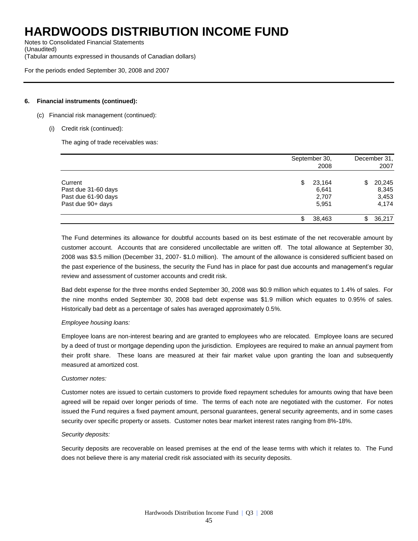Notes to Consolidated Financial Statements (Unaudited) (Tabular amounts expressed in thousands of Canadian dollars)

For the periods ended September 30, 2008 and 2007

#### **6. Financial instruments (continued):**

- (c) Financial risk management (continued):
	- (i) Credit risk (continued):

The aging of trade receivables was:

|                     | September 30,<br>2008 | December 31,<br>2007 |  |
|---------------------|-----------------------|----------------------|--|
| Current             | \$<br>23,164          | 20,245<br>\$         |  |
| Past due 31-60 days | 6,641                 | 8,345                |  |
| Past due 61-90 days | 2,707                 | 3,453                |  |
| Past due 90+ days   | 5,951                 | 4,174                |  |
|                     | 38,463<br>\$          | 36,217<br>\$         |  |

The Fund determines its allowance for doubtful accounts based on its best estimate of the net recoverable amount by customer account. Accounts that are considered uncollectable are written off. The total allowance at September 30, 2008 was \$3.5 million (December 31, 2007- \$1.0 million). The amount of the allowance is considered sufficient based on the past experience of the business, the security the Fund has in place for past due accounts and management's regular review and assessment of customer accounts and credit risk.

Bad debt expense for the three months ended September 30, 2008 was \$0.9 million which equates to 1.4% of sales. For the nine months ended September 30, 2008 bad debt expense was \$1.9 million which equates to 0.95% of sales. Historically bad debt as a percentage of sales has averaged approximately 0.5%.

#### *Employee housing loans:*

Employee loans are non-interest bearing and are granted to employees who are relocated. Employee loans are secured by a deed of trust or mortgage depending upon the jurisdiction. Employees are required to make an annual payment from their profit share. These loans are measured at their fair market value upon granting the loan and subsequently measured at amortized cost.

#### *Customer notes:*

Customer notes are issued to certain customers to provide fixed repayment schedules for amounts owing that have been agreed will be repaid over longer periods of time. The terms of each note are negotiated with the customer. For notes issued the Fund requires a fixed payment amount, personal guarantees, general security agreements, and in some cases security over specific property or assets. Customer notes bear market interest rates ranging from 8%-18%.

#### *Security deposits:*

Security deposits are recoverable on leased premises at the end of the lease terms with which it relates to. The Fund does not believe there is any material credit risk associated with its security deposits.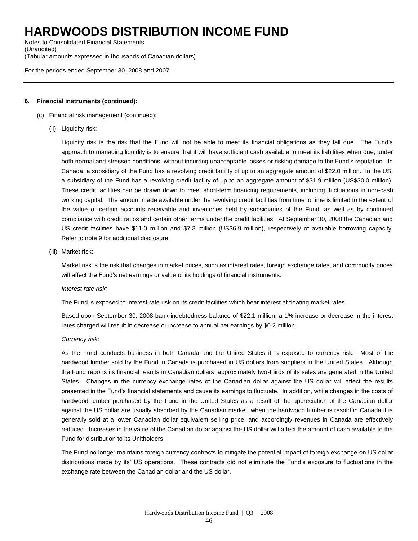Notes to Consolidated Financial Statements (Unaudited) (Tabular amounts expressed in thousands of Canadian dollars)

For the periods ended September 30, 2008 and 2007

#### **6. Financial instruments (continued):**

- (c) Financial risk management (continued):
	- (ii) Liquidity risk:

Liquidity risk is the risk that the Fund will not be able to meet its financial obligations as they fall due. The Fund's approach to managing liquidity is to ensure that it will have sufficient cash available to meet its liabilities when due, under both normal and stressed conditions, without incurring unacceptable losses or risking damage to the Fund's reputation. In Canada, a subsidiary of the Fund has a revolving credit facility of up to an aggregate amount of \$22.0 million. In the US, a subsidiary of the Fund has a revolving credit facility of up to an aggregate amount of \$31.9 million (US\$30.0 million). These credit facilities can be drawn down to meet short-term financing requirements, including fluctuations in non-cash working capital. The amount made available under the revolving credit facilities from time to time is limited to the extent of the value of certain accounts receivable and inventories held by subsidiaries of the Fund, as well as by continued compliance with credit ratios and certain other terms under the credit facilities. At September 30, 2008 the Canadian and US credit facilities have \$11.0 million and \$7.3 million (US\$6.9 million), respectively of available borrowing capacity. Refer to note 9 for additional disclosure.

(iii) Market risk:

Market risk is the risk that changes in market prices, such as interest rates, foreign exchange rates, and commodity prices will affect the Fund's net earnings or value of its holdings of financial instruments.

#### *Interest rate risk:*

The Fund is exposed to interest rate risk on its credit facilities which bear interest at floating market rates.

Based upon September 30, 2008 bank indebtedness balance of \$22.1 million, a 1% increase or decrease in the interest rates charged will result in decrease or increase to annual net earnings by \$0.2 million.

#### *Currency risk:*

As the Fund conducts business in both Canada and the United States it is exposed to currency risk. Most of the hardwood lumber sold by the Fund in Canada is purchased in US dollars from suppliers in the United States. Although the Fund reports its financial results in Canadian dollars, approximately two-thirds of its sales are generated in the United States. Changes in the currency exchange rates of the Canadian dollar against the US dollar will affect the results presented in the Fund's financial statements and cause its earnings to fluctuate. In addition, while changes in the costs of hardwood lumber purchased by the Fund in the United States as a result of the appreciation of the Canadian dollar against the US dollar are usually absorbed by the Canadian market, when the hardwood lumber is resold in Canada it is generally sold at a lower Canadian dollar equivalent selling price, and accordingly revenues in Canada are effectively reduced. Increases in the value of the Canadian dollar against the US dollar will affect the amount of cash available to the Fund for distribution to its Unitholders.

The Fund no longer maintains foreign currency contracts to mitigate the potential impact of foreign exchange on US dollar distributions made by its' US operations. These contracts did not eliminate the Fund's exposure to fluctuations in the exchange rate between the Canadian dollar and the US dollar.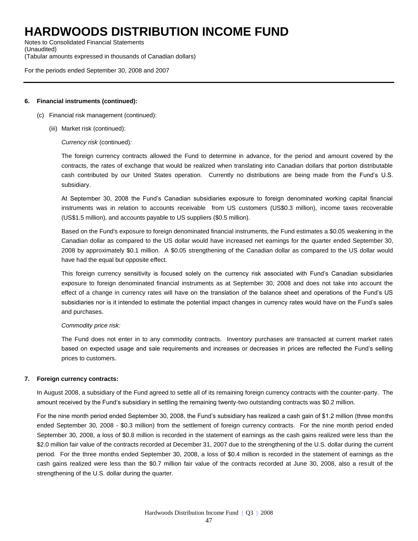Notes to Consolidated Financial Statements (Unaudited) (Tabular amounts expressed in thousands of Canadian dollars)

For the periods ended September 30, 2008 and 2007

#### **6. Financial instruments (continued):**

- (c) Financial risk management (continued):
	- (iii) Market risk (continued):

*Currency risk* (continued)*:*

The foreign currency contracts allowed the Fund to determine in advance, for the period and amount covered by the contracts, the rates of exchange that would be realized when translating into Canadian dollars that portion distributable cash contributed by our United States operation. Currently no distributions are being made from the Fund's U.S. subsidiary.

At September 30, 2008 the Fund's Canadian subsidiaries exposure to foreign denominated working capital financial instruments was in relation to accounts receivable from US customers (US\$0.3 million), income taxes recoverable (US\$1.5 million), and accounts payable to US suppliers (\$0.5 million).

Based on the Fund's exposure to foreign denominated financial instruments, the Fund estimates a \$0.05 weakening in the Canadian dollar as compared to the US dollar would have increased net earnings for the quarter ended September 30, 2008 by approximately \$0.1 million. A \$0.05 strengthening of the Canadian dollar as compared to the US dollar would have had the equal but opposite effect.

This foreign currency sensitivity is focused solely on the currency risk associated with Fund's Canadian subsidiaries exposure to foreign denominated financial instruments as at September 30, 2008 and does not take into account the effect of a change in currency rates will have on the translation of the balance sheet and operations of the Fund's US subsidiaries nor is it intended to estimate the potential impact changes in currency rates would have on the Fund's sales and purchases.

#### *Commodity price risk:*

The Fund does not enter in to any commodity contracts. Inventory purchases are transacted at current market rates based on expected usage and sale requirements and increases or decreases in prices are reflected the Fund's selling prices to customers.

#### **7. Foreign currency contracts:**

In August 2008, a subsidiary of the Fund agreed to settle all of its remaining foreign currency contracts with the counter-party. The amount received by the Fund's subsidiary in settling the remaining twenty-two outstanding contracts was \$0.2 million.

For the nine month period ended September 30, 2008, the Fund's subsidiary has realized a cash gain of \$1.2 million (three months ended September 30, 2008 - \$0.3 million) from the settlement of foreign currency contracts. For the nine month period ended September 30, 2008, a loss of \$0.8 million is recorded in the statement of earnings as the cash gains realized were less than the \$2.0 million fair value of the contracts recorded at December 31, 2007 due to the strengthening of the U.S. dollar during the current period. For the three months ended September 30, 2008, a loss of \$0.4 million is recorded in the statement of earnings as the cash gains realized were less than the \$0.7 million fair value of the contracts recorded at June 30, 2008, also a result of the strengthening of the U.S. dollar during the quarter.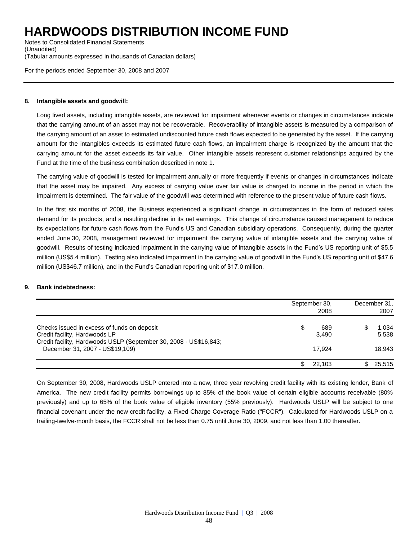Notes to Consolidated Financial Statements (Unaudited) (Tabular amounts expressed in thousands of Canadian dollars)

For the periods ended September 30, 2008 and 2007

#### **8. Intangible assets and goodwill:**

Long lived assets, including intangible assets, are reviewed for impairment whenever events or changes in circumstances indicate that the carrying amount of an asset may not be recoverable. Recoverability of intangible assets is measured by a comparison of the carrying amount of an asset to estimated undiscounted future cash flows expected to be generated by the asset. If the carrying amount for the intangibles exceeds its estimated future cash flows, an impairment charge is recognized by the amount that the carrying amount for the asset exceeds its fair value. Other intangible assets represent customer relationships acquired by the Fund at the time of the business combination described in note 1.

The carrying value of goodwill is tested for impairment annually or more frequently if events or changes in circumstances indicate that the asset may be impaired. Any excess of carrying value over fair value is charged to income in the period in which the impairment is determined. The fair value of the goodwill was determined with reference to the present value of future cash flows.

In the first six months of 2008, the Business experienced a significant change in circumstances in the form of reduced sales demand for its products, and a resulting decline in its net earnings. This change of circumstance caused management to reduce its expectations for future cash flows from the Fund's US and Canadian subsidiary operations. Consequently, during the quarter ended June 30, 2008, management reviewed for impairment the carrying value of intangible assets and the carrying value of goodwill. Results of testing indicated impairment in the carrying value of intangible assets in the Fund's US reporting unit of \$5.5 million (US\$5.4 million). Testing also indicated impairment in the carrying value of goodwill in the Fund's US reporting unit of \$47.6 million (US\$46.7 million), and in the Fund's Canadian reporting unit of \$17.0 million.

#### **9. Bank indebtedness:**

|                                                                                                      | September 30, | December 31,<br>2007 |  |                |
|------------------------------------------------------------------------------------------------------|---------------|----------------------|--|----------------|
| Checks issued in excess of funds on deposit<br>Credit facility, Hardwoods LP                         | \$            | 689<br>3.490         |  | 1,034<br>5,538 |
| Credit facility, Hardwoods USLP (September 30, 2008 - US\$16,843;<br>December 31, 2007 - US\$19,109) |               | 17.924               |  | 18.943         |
|                                                                                                      |               | 22.103               |  | 25.515         |

On September 30, 2008, Hardwoods USLP entered into a new, three year revolving credit facility with its existing lender, Bank of America. The new credit facility permits borrowings up to 85% of the book value of certain eligible accounts receivable (80% previously) and up to 65% of the book value of eligible inventory (55% previously). Hardwoods USLP will be subject to one financial covenant under the new credit facility, a Fixed Charge Coverage Ratio ("FCCR"). Calculated for Hardwoods USLP on a trailing-twelve-month basis, the FCCR shall not be less than 0.75 until June 30, 2009, and not less than 1.00 thereafter.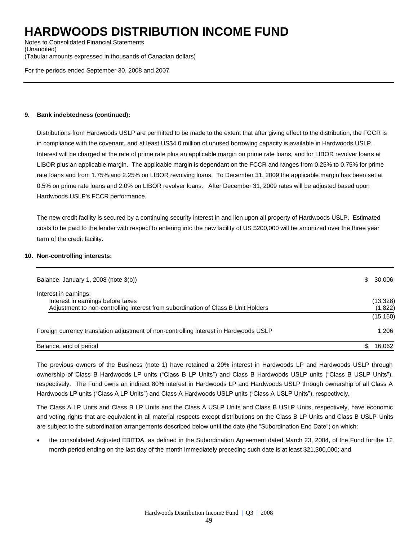Notes to Consolidated Financial Statements (Unaudited) (Tabular amounts expressed in thousands of Canadian dollars)

For the periods ended September 30, 2008 and 2007

#### **9. Bank indebtedness (continued):**

Distributions from Hardwoods USLP are permitted to be made to the extent that after giving effect to the distribution, the FCCR is in compliance with the covenant, and at least US\$4.0 million of unused borrowing capacity is available in Hardwoods USLP. Interest will be charged at the rate of prime rate plus an applicable margin on prime rate loans, and for LIBOR revolver loans at LIBOR plus an applicable margin. The applicable margin is dependant on the FCCR and ranges from 0.25% to 0.75% for prime rate loans and from 1.75% and 2.25% on LIBOR revolving loans. To December 31, 2009 the applicable margin has been set at 0.5% on prime rate loans and 2.0% on LIBOR revolver loans. After December 31, 2009 rates will be adjusted based upon Hardwoods USLP's FCCR performance.

The new credit facility is secured by a continuing security interest in and lien upon all property of Hardwoods USLP. Estimated costs to be paid to the lender with respect to entering into the new facility of US \$200,000 will be amortized over the three year term of the credit facility.

#### **10. Non-controlling interests:**

| Balance, January 1, 2008 (note 3(b))                                                                                                            | \$. | 30,006               |
|-------------------------------------------------------------------------------------------------------------------------------------------------|-----|----------------------|
| Interest in earnings:<br>Interest in earnings before taxes<br>Adjustment to non-controlling interest from subordination of Class B Unit Holders |     | (13, 328)<br>(1,822) |
|                                                                                                                                                 |     | (15, 150)            |
| Foreign currency translation adjustment of non-controlling interest in Hardwoods USLP                                                           |     | 1.206                |
| Balance, end of period                                                                                                                          |     | 16.062               |

The previous owners of the Business (note 1) have retained a 20% interest in Hardwoods LP and Hardwoods USLP through ownership of Class B Hardwoods LP units ("Class B LP Units") and Class B Hardwoods USLP units ("Class B USLP Units"), respectively. The Fund owns an indirect 80% interest in Hardwoods LP and Hardwoods USLP through ownership of all Class A Hardwoods LP units ("Class A LP Units") and Class A Hardwoods USLP units ("Class A USLP Units"), respectively.

The Class A LP Units and Class B LP Units and the Class A USLP Units and Class B USLP Units, respectively, have economic and voting rights that are equivalent in all material respects except distributions on the Class B LP Units and Class B USLP Units are subject to the subordination arrangements described below until the date (the "Subordination End Date") on which:

 the consolidated Adjusted EBITDA, as defined in the Subordination Agreement dated March 23, 2004, of the Fund for the 12 month period ending on the last day of the month immediately preceding such date is at least \$21,300,000; and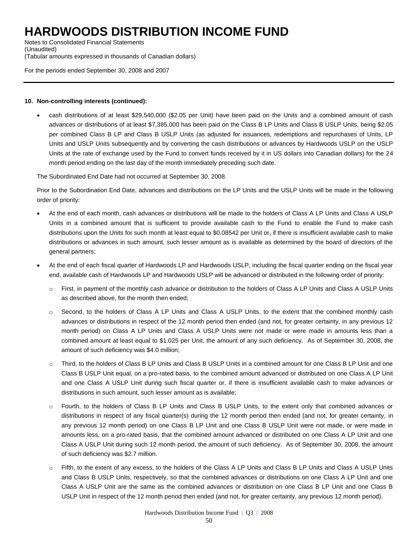Notes to Consolidated Financial Statements (Unaudited) (Tabular amounts expressed in thousands of Canadian dollars)

For the periods ended September 30, 2008 and 2007

#### **10. Non-controlling interests (continued):**

 cash distributions of at least \$29,540,000 (\$2.05 per Unit) have been paid on the Units and a combined amount of cash advances or distributions of at least \$7,385,000 has been paid on the Class B LP Units and Class B USLP Units, being \$2.05 per combined Class B LP and Class B USLP Units (as adjusted for issuances, redemptions and repurchases of Units, LP Units and USLP Units subsequently and by converting the cash distributions or advances by Hardwoods USLP on the USLP Units at the rate of exchange used by the Fund to convert funds received by it in US dollars into Canadian dollars) for the 24 month period ending on the last day of the month immediately preceding such date.

The Subordinated End Date had not occurred at September 30, 2008.

Prior to the Subordination End Date, advances and distributions on the LP Units and the USLP Units will be made in the following order of priority:

- At the end of each month, cash advances or distributions will be made to the holders of Class A LP Units and Class A USLP Units in a combined amount that is sufficient to provide available cash to the Fund to enable the Fund to make cash distributions upon the Units for such month at least equal to \$0.08542 per Unit or, if there is insufficient available cash to make distributions or advances in such amount, such lesser amount as is available as determined by the board of directors of the general partners;
- At the end of each fiscal quarter of Hardwoods LP and Hardwoods USLP, including the fiscal quarter ending on the fiscal year end, available cash of Hardwoods LP and Hardwoods USLP will be advanced or distributed in the following order of priority:
	- o First, in payment of the monthly cash advance or distribution to the holders of Class A LP Units and Class A USLP Units as described above, for the month then ended;
	- o Second, to the holders of Class A LP Units and Class A USLP Units, to the extent that the combined monthly cash advances or distributions in respect of the 12 month period then ended (and not, for greater certainty, in any previous 12 month period) on Class A LP Units and Class A USLP Units were not made or were made in amounts less than a combined amount at least equal to \$1.025 per Unit, the amount of any such deficiency. As of September 30, 2008, the amount of such deficiency was \$4.0 million;
	- Third, to the holders of Class B LP Units and Class B USLP Units in a combined amount for one Class B LP Unit and one Class B USLP Unit equal, on a pro-rated basis, to the combined amount advanced or distributed on one Class A LP Unit and one Class A USLP Unit during such fiscal quarter or, if there is insufficient available cash to make advances or distributions in such amount, such lesser amount as is available;
	- o Fourth, to the holders of Class B LP Units and Class B USLP Units, to the extent only that combined advances or distributions in respect of any fiscal quarter(s) during the 12 month period then ended (and not, for greater certainty, in any previous 12 month period) on one Class B LP Unit and one Class B USLP Unit were not made, or were made in amounts less, on a pro-rated basis, that the combined amount advanced or distributed on one Class A LP Unit and one Class A USLP Unit during such 12 month period, the amount of such deficiency. As of September 30, 2008, the amount of such deficiency was \$2.7 million.
	- o Fifth, to the extent of any excess, to the holders of the Class A LP Units and Class B LP Units and Class A USLP Units and Class B USLP Units, respectively, so that the combined advances or distributions on one Class A LP Unit and one Class A USLP Unit are the same as the combined advances or distribution on one Class B LP Unit and one Class B USLP Unit in respect of the 12 month period then ended (and not, for greater certainty, any previous 12 month period).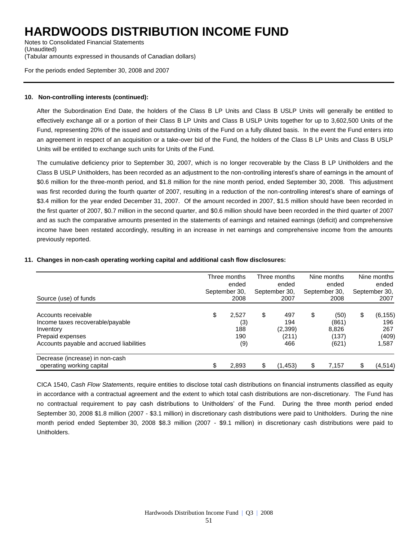Notes to Consolidated Financial Statements (Unaudited) (Tabular amounts expressed in thousands of Canadian dollars)

For the periods ended September 30, 2008 and 2007

#### **10. Non-controlling interests (continued):**

After the Subordination End Date, the holders of the Class B LP Units and Class B USLP Units will generally be entitled to effectively exchange all or a portion of their Class B LP Units and Class B USLP Units together for up to 3,602,500 Units of the Fund, representing 20% of the issued and outstanding Units of the Fund on a fully diluted basis. In the event the Fund enters into an agreement in respect of an acquisition or a take-over bid of the Fund, the holders of the Class B LP Units and Class B USLP Units will be entitled to exchange such units for Units of the Fund.

The cumulative deficiency prior to September 30, 2007, which is no longer recoverable by the Class B LP Unitholders and the Class B USLP Unitholders, has been recorded as an adjustment to the non-controlling interest's share of earnings in the amount of \$0.6 million for the three-month period, and \$1.8 million for the nine month period, ended September 30, 2008. This adjustment was first recorded during the fourth quarter of 2007, resulting in a reduction of the non-controlling interest's share of earnings of \$3.4 million for the year ended December 31, 2007. Of the amount recorded in 2007, \$1.5 million should have been recorded in the first quarter of 2007, \$0.7 million in the second quarter, and \$0.6 million should have been recorded in the third quarter of 2007 and as such the comparative amounts presented in the statements of earnings and retained earnings (deficit) and comprehensive income have been restated accordingly, resulting in an increase in net earnings and comprehensive income from the amounts previously reported.

| Source (use) of funds                                                                                                                |     | Three months<br>ended<br>September 30,<br>2008 | Three months<br>ended<br>September 30,<br>2007 | Nine months<br>ended<br>September 30,<br>2008  | Nine months<br>ended<br>September 30,<br>2007  |
|--------------------------------------------------------------------------------------------------------------------------------------|-----|------------------------------------------------|------------------------------------------------|------------------------------------------------|------------------------------------------------|
| Accounts receivable<br>Income taxes recoverable/payable<br>Inventory<br>Prepaid expenses<br>Accounts payable and accrued liabilities | \$  | 2.527<br>(3)<br>188<br>190<br>(9)              | \$<br>497<br>194<br>(2, 399)<br>(211)<br>466   | \$<br>(50)<br>(861)<br>8,826<br>(137)<br>(621) | \$<br>(6, 155)<br>196<br>267<br>(409)<br>1,587 |
| Decrease (increase) in non-cash<br>operating working capital                                                                         | \$. | 2,893                                          | \$<br>(1,453)                                  | \$<br>7,157                                    | \$<br>(4, 514)                                 |

#### **11. Changes in non-cash operating working capital and additional cash flow disclosures:**

CICA 1540, *Cash Flow Statements*, require entities to disclose total cash distributions on financial instruments classified as equity in accordance with a contractual agreement and the extent to which total cash distributions are non-discretionary. The Fund has no contractual requirement to pay cash distributions to Unitholders' of the Fund. During the three month period ended September 30, 2008 \$1.8 million (2007 - \$3.1 million) in discretionary cash distributions were paid to Unitholders. During the nine month period ended September 30, 2008 \$8.3 million (2007 - \$9.1 million) in discretionary cash distributions were paid to Unitholders.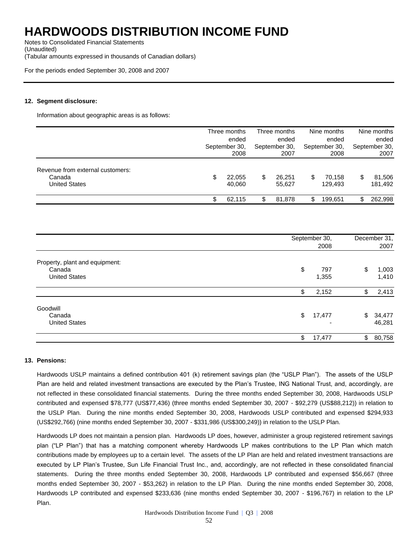Notes to Consolidated Financial Statements (Unaudited) (Tabular amounts expressed in thousands of Canadian dollars)

For the periods ended September 30, 2008 and 2007

#### **12. Segment disclosure:**

Information about geographic areas is as follows:

|                                                             | Three months<br>ended<br>September 30,<br>2008 | Three months<br>ended<br>September 30,<br>2007 | Nine months<br>ended<br>September 30,<br>2008 |     | Nine months<br>ended<br>September 30,<br>2007 |
|-------------------------------------------------------------|------------------------------------------------|------------------------------------------------|-----------------------------------------------|-----|-----------------------------------------------|
| Revenue from external customers:<br>Canada<br>United States | 22,055<br>\$<br>40.060                         | \$<br>26.251<br>55.627                         | \$<br>70.158<br>129.493                       | \$  | 81,506<br>181,492                             |
|                                                             | 62.115                                         | 81.878                                         | \$<br>199.651                                 | \$. | 262.998                                       |

|                                                                  | September 30,<br>2008 |    |                  |
|------------------------------------------------------------------|-----------------------|----|------------------|
| Property, plant and equipment:<br>Canada<br><b>United States</b> | \$<br>797<br>1,355    | \$ | 1,003<br>1,410   |
|                                                                  | \$<br>2,152           | \$ | 2,413            |
| Goodwill<br>Canada<br><b>United States</b>                       | \$<br>17,477          | \$ | 34,477<br>46,281 |
|                                                                  | \$<br>17,477          | \$ | 80,758           |

#### **13. Pensions:**

Hardwoods USLP maintains a defined contribution 401 (k) retirement savings plan (the "USLP Plan"). The assets of the USLP Plan are held and related investment transactions are executed by the Plan's Trustee, ING National Trust, and, accordingly, are not reflected in these consolidated financial statements. During the three months ended September 30, 2008, Hardwoods USLP contributed and expensed \$78,777 (US\$77,436) (three months ended September 30, 2007 - \$92,279 (US\$88,212)) in relation to the USLP Plan. During the nine months ended September 30, 2008, Hardwoods USLP contributed and expensed \$294,933 (US\$292,766) (nine months ended September 30, 2007 - \$331,986 (US\$300,249)) in relation to the USLP Plan.

Hardwoods LP does not maintain a pension plan. Hardwoods LP does, however, administer a group registered retirement savings plan ("LP Plan") that has a matching component whereby Hardwoods LP makes contributions to the LP Plan which match contributions made by employees up to a certain level. The assets of the LP Plan are held and related investment transactions are executed by LP Plan's Trustee, Sun Life Financial Trust Inc., and, accordingly, are not reflected in these consolidated financial statements. During the three months ended September 30, 2008, Hardwoods LP contributed and expensed \$56,667 (three months ended September 30, 2007 - \$53,262) in relation to the LP Plan. During the nine months ended September 30, 2008, Hardwoods LP contributed and expensed \$233,636 (nine months ended September 30, 2007 - \$196,767) in relation to the LP Plan.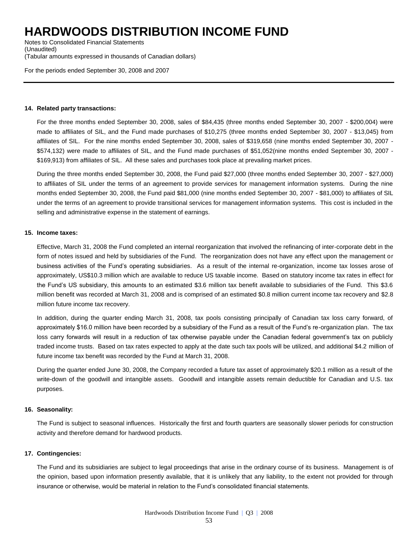Notes to Consolidated Financial Statements (Unaudited) (Tabular amounts expressed in thousands of Canadian dollars)

For the periods ended September 30, 2008 and 2007

#### **14. Related party transactions:**

For the three months ended September 30, 2008, sales of \$84,435 (three months ended September 30, 2007 - \$200,004) were made to affiliates of SIL, and the Fund made purchases of \$10,275 (three months ended September 30, 2007 - \$13,045) from affiliates of SIL. For the nine months ended September 30, 2008, sales of \$319,658 (nine months ended September 30, 2007 - \$574,132) were made to affiliates of SIL, and the Fund made purchases of \$51,052(nine months ended September 30, 2007 - \$169,913) from affiliates of SIL. All these sales and purchases took place at prevailing market prices.

During the three months ended September 30, 2008, the Fund paid \$27,000 (three months ended September 30, 2007 - \$27,000) to affiliates of SIL under the terms of an agreement to provide services for management information systems. During the nine months ended September 30, 2008, the Fund paid \$81,000 (nine months ended September 30, 2007 - \$81,000) to affiliates of SIL under the terms of an agreement to provide transitional services for management information systems. This cost is included in the selling and administrative expense in the statement of earnings.

#### **15. Income taxes:**

Effective, March 31, 2008 the Fund completed an internal reorganization that involved the refinancing of inter-corporate debt in the form of notes issued and held by subsidiaries of the Fund. The reorganization does not have any effect upon the management or business activities of the Fund's operating subsidiaries. As a result of the internal re-organization, income tax losses arose of approximately, US\$10.3 million which are available to reduce US taxable income. Based on statutory income tax rates in effect for the Fund's US subsidiary, this amounts to an estimated \$3.6 million tax benefit available to subsidiaries of the Fund. This \$3.6 million benefit was recorded at March 31, 2008 and is comprised of an estimated \$0.8 million current income tax recovery and \$2.8 million future income tax recovery.

In addition, during the quarter ending March 31, 2008, tax pools consisting principally of Canadian tax loss carry forward, of approximately \$16.0 million have been recorded by a subsidiary of the Fund as a result of the Fund's re-organization plan. The tax loss carry forwards will result in a reduction of tax otherwise payable under the Canadian federal government's tax on publicly traded income trusts. Based on tax rates expected to apply at the date such tax pools will be utilized, and additional \$4.2 million of future income tax benefit was recorded by the Fund at March 31, 2008.

During the quarter ended June 30, 2008, the Company recorded a future tax asset of approximately \$20.1 million as a result of the write-down of the goodwill and intangible assets. Goodwill and intangible assets remain deductible for Canadian and U.S. tax purposes.

#### **16. Seasonality:**

The Fund is subject to seasonal influences. Historically the first and fourth quarters are seasonally slower periods for construction activity and therefore demand for hardwood products.

#### **17. Contingencies:**

The Fund and its subsidiaries are subject to legal proceedings that arise in the ordinary course of its business. Management is of the opinion, based upon information presently available, that it is unlikely that any liability, to the extent not provided for through insurance or otherwise, would be material in relation to the Fund's consolidated financial statements.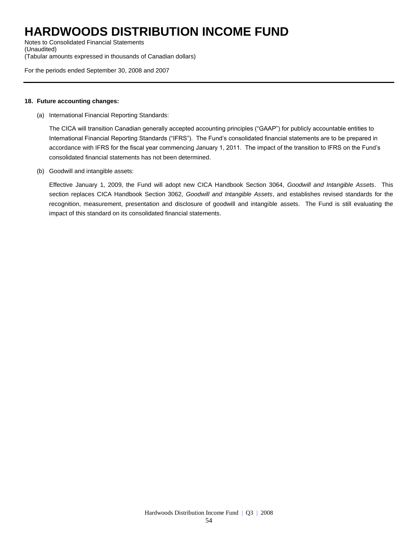Notes to Consolidated Financial Statements (Unaudited) (Tabular amounts expressed in thousands of Canadian dollars)

For the periods ended September 30, 2008 and 2007

#### **18. Future accounting changes:**

(a) International Financial Reporting Standards:

The CICA will transition Canadian generally accepted accounting principles ("GAAP") for publicly accountable entities to International Financial Reporting Standards ("IFRS"). The Fund's consolidated financial statements are to be prepared in accordance with IFRS for the fiscal year commencing January 1, 2011. The impact of the transition to IFRS on the Fund's consolidated financial statements has not been determined.

(b) Goodwill and intangible assets:

Effective January 1, 2009, the Fund will adopt new CICA Handbook Section 3064, *Goodwill and Intangible Assets*. This section replaces CICA Handbook Section 3062, *Goodwill and Intangible Assets*, and establishes revised standards for the recognition, measurement, presentation and disclosure of goodwill and intangible assets. The Fund is still evaluating the impact of this standard on its consolidated financial statements.